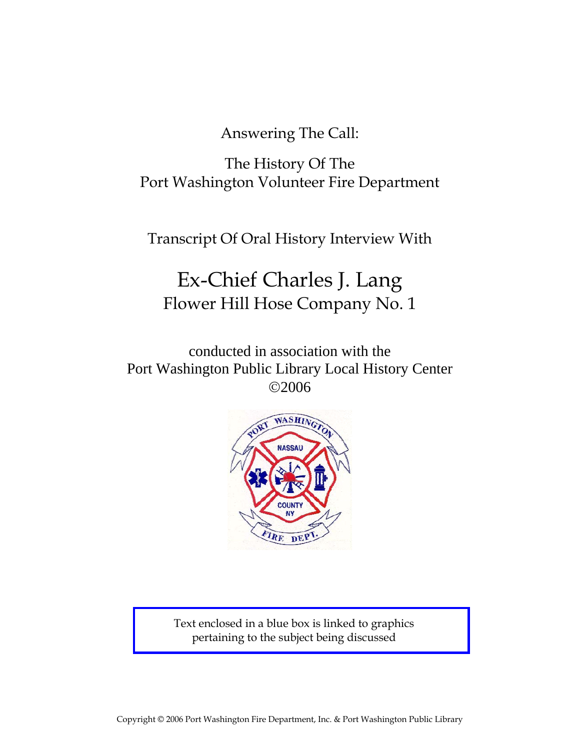Answering The Call:

The History Of The Port Washington Volunteer Fire Department

Transcript Of Oral History Interview With

# Ex-Chief Charles J. Lang Flower Hill Hose Company No. 1

conducted in association with the Port Washington Public Library Local History Center ©2006



Text enclosed in a blue box is linked to graphics pertaining to the subject being discussed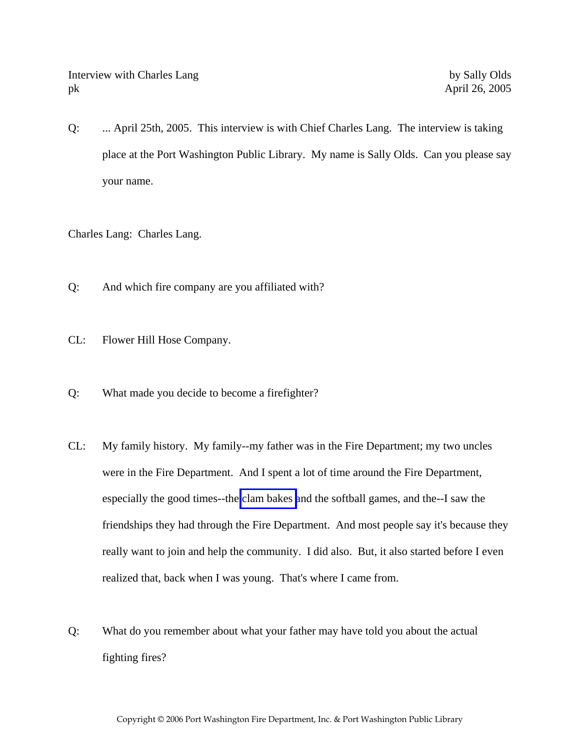Interview with Charles Lang by Sally Olds pk April 26, 2005

Q: ... April 25th, 2005. This interview is with Chief Charles Lang. The interview is taking place at the Port Washington Public Library. My name is Sally Olds. Can you please say your name.

Charles Lang: Charles Lang.

- Q: And which fire company are you affiliated with?
- CL: Flower Hill Hose Company.
- Q: What made you decide to become a firefighter?
- CL: My family history. My family--my father was in the Fire Department; my two uncles were in the Fire Department. And I spent a lot of time around the Fire Department, especially the good times--the [clam bakes](http://www.pwfdhistory.com/trans/langc_trans/fhh_picnic001_web.jpg) and the softball games, and the--I saw the friendships they had through the Fire Department. And most people say it's because they really want to join and help the community. I did also. But, it also started before I even realized that, back when I was young. That's where I came from.
- Q: What do you remember about what your father may have told you about the actual fighting fires?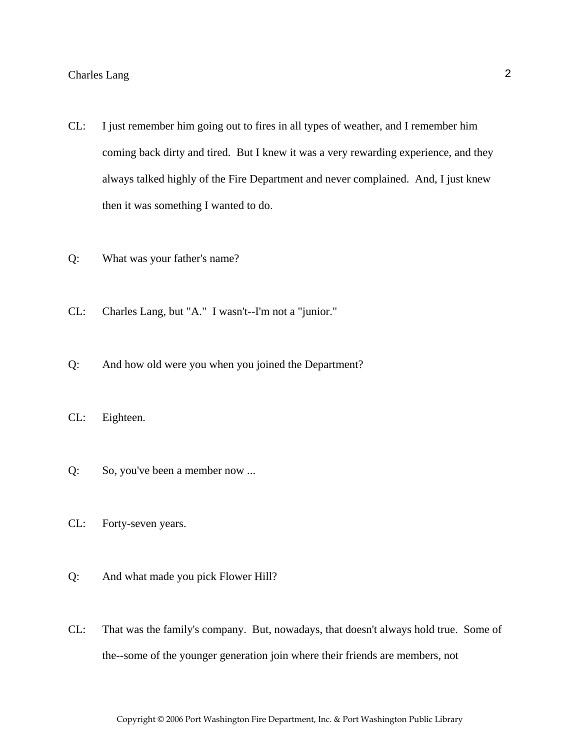- CL: I just remember him going out to fires in all types of weather, and I remember him coming back dirty and tired. But I knew it was a very rewarding experience, and they always talked highly of the Fire Department and never complained. And, I just knew then it was something I wanted to do.
- Q: What was your father's name?
- CL: Charles Lang, but "A." I wasn't--I'm not a "junior."
- Q: And how old were you when you joined the Department?
- CL: Eighteen.
- Q: So, you've been a member now ...
- CL: Forty-seven years.
- Q: And what made you pick Flower Hill?
- CL: That was the family's company. But, nowadays, that doesn't always hold true. Some of the--some of the younger generation join where their friends are members, not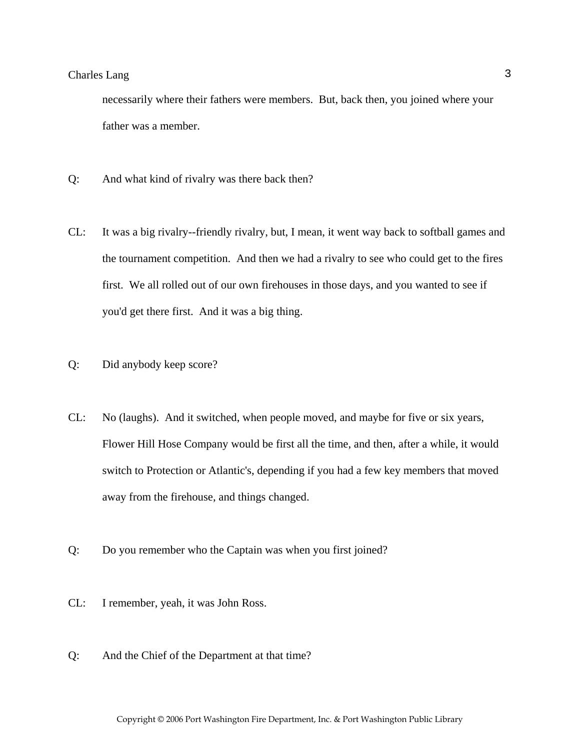necessarily where their fathers were members. But, back then, you joined where your father was a member.

- Q: And what kind of rivalry was there back then?
- CL: It was a big rivalry--friendly rivalry, but, I mean, it went way back to softball games and the tournament competition. And then we had a rivalry to see who could get to the fires first. We all rolled out of our own firehouses in those days, and you wanted to see if you'd get there first. And it was a big thing.
- Q: Did anybody keep score?
- CL: No (laughs). And it switched, when people moved, and maybe for five or six years, Flower Hill Hose Company would be first all the time, and then, after a while, it would switch to Protection or Atlantic's, depending if you had a few key members that moved away from the firehouse, and things changed.
- Q: Do you remember who the Captain was when you first joined?
- CL: I remember, yeah, it was John Ross.
- Q: And the Chief of the Department at that time?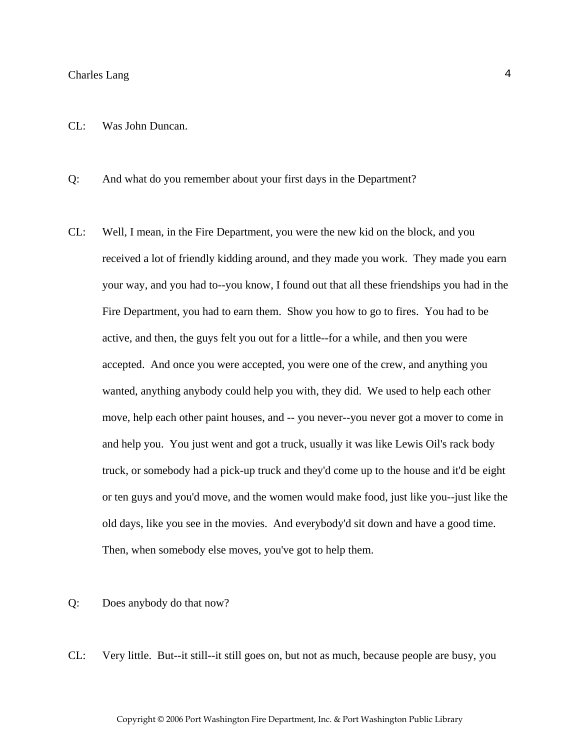#### CL: Was John Duncan.

Q: And what do you remember about your first days in the Department?

CL: Well, I mean, in the Fire Department, you were the new kid on the block, and you received a lot of friendly kidding around, and they made you work. They made you earn your way, and you had to--you know, I found out that all these friendships you had in the Fire Department, you had to earn them. Show you how to go to fires. You had to be active, and then, the guys felt you out for a little--for a while, and then you were accepted. And once you were accepted, you were one of the crew, and anything you wanted, anything anybody could help you with, they did. We used to help each other move, help each other paint houses, and -- you never--you never got a mover to come in and help you. You just went and got a truck, usually it was like Lewis Oil's rack body truck, or somebody had a pick-up truck and they'd come up to the house and it'd be eight or ten guys and you'd move, and the women would make food, just like you--just like the old days, like you see in the movies. And everybody'd sit down and have a good time. Then, when somebody else moves, you've got to help them.

#### Q: Does anybody do that now?

CL: Very little. But--it still--it still goes on, but not as much, because people are busy, you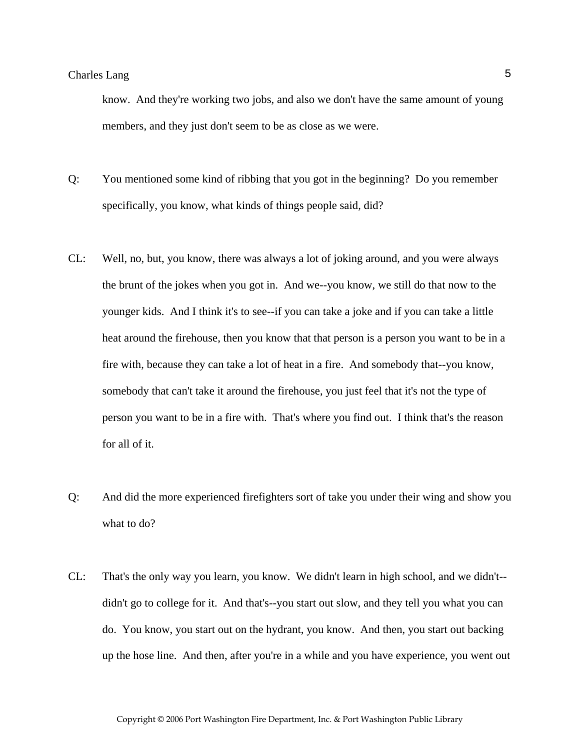know. And they're working two jobs, and also we don't have the same amount of young members, and they just don't seem to be as close as we were.

- Q: You mentioned some kind of ribbing that you got in the beginning? Do you remember specifically, you know, what kinds of things people said, did?
- CL: Well, no, but, you know, there was always a lot of joking around, and you were always the brunt of the jokes when you got in. And we--you know, we still do that now to the younger kids. And I think it's to see--if you can take a joke and if you can take a little heat around the firehouse, then you know that that person is a person you want to be in a fire with, because they can take a lot of heat in a fire. And somebody that--you know, somebody that can't take it around the firehouse, you just feel that it's not the type of person you want to be in a fire with. That's where you find out. I think that's the reason for all of it.
- Q: And did the more experienced firefighters sort of take you under their wing and show you what to do?
- CL: That's the only way you learn, you know. We didn't learn in high school, and we didn't- didn't go to college for it. And that's--you start out slow, and they tell you what you can do. You know, you start out on the hydrant, you know. And then, you start out backing up the hose line. And then, after you're in a while and you have experience, you went out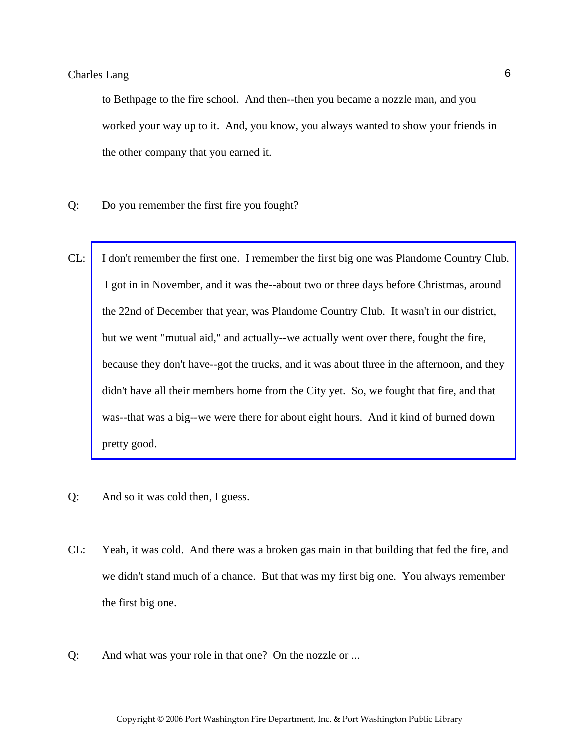to Bethpage to the fire school. And then--then you became a nozzle man, and you worked your way up to it. And, you know, you always wanted to show your friends in the other company that you earned it.

- Q: Do you remember the first fire you fought?
- CL: [I don't remember the first one. I remember the first big one was Plandome Country Club.](http://www.pwfdhistory.com/trans/langc_trans/peco_fires035a.pdf)  I got in in November, and it was the--about two or three days before Christmas, around the 22nd of December that year, was Plandome Country Club. It wasn't in our district, but we went "mutual aid," and actually--we actually went over there, fought the fire, because they don't have--got the trucks, and it was about three in the afternoon, and they didn't have all their members home from the City yet. So, we fought that fire, and that was--that was a big--we were there for about eight hours. And it kind of burned down pretty good.
- Q: And so it was cold then, I guess.
- CL: Yeah, it was cold. And there was a broken gas main in that building that fed the fire, and we didn't stand much of a chance. But that was my first big one. You always remember the first big one.
- Q: And what was your role in that one? On the nozzle or ...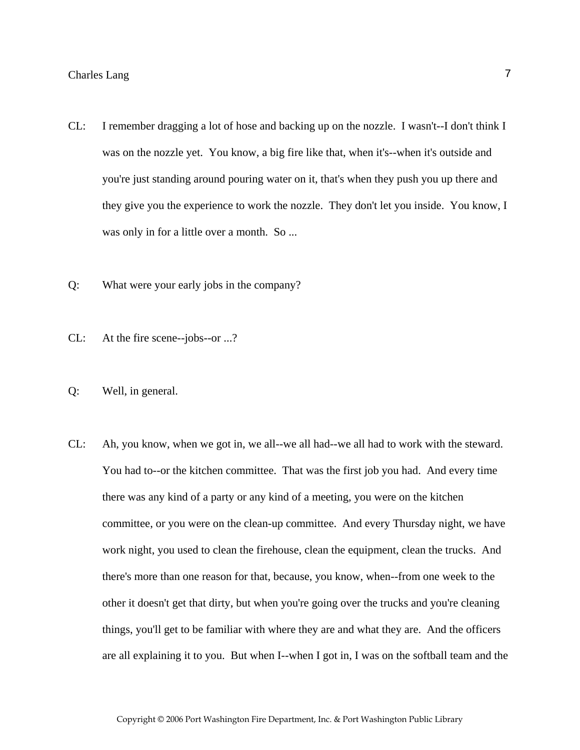- CL: I remember dragging a lot of hose and backing up on the nozzle. I wasn't--I don't think I was on the nozzle yet. You know, a big fire like that, when it's--when it's outside and you're just standing around pouring water on it, that's when they push you up there and they give you the experience to work the nozzle. They don't let you inside. You know, I was only in for a little over a month. So ...
- Q: What were your early jobs in the company?
- CL: At the fire scene--jobs--or ...?
- Q: Well, in general.
- CL: Ah, you know, when we got in, we all--we all had--we all had to work with the steward. You had to--or the kitchen committee. That was the first job you had. And every time there was any kind of a party or any kind of a meeting, you were on the kitchen committee, or you were on the clean-up committee. And every Thursday night, we have work night, you used to clean the firehouse, clean the equipment, clean the trucks. And there's more than one reason for that, because, you know, when--from one week to the other it doesn't get that dirty, but when you're going over the trucks and you're cleaning things, you'll get to be familiar with where they are and what they are. And the officers are all explaining it to you. But when I--when I got in, I was on the softball team and the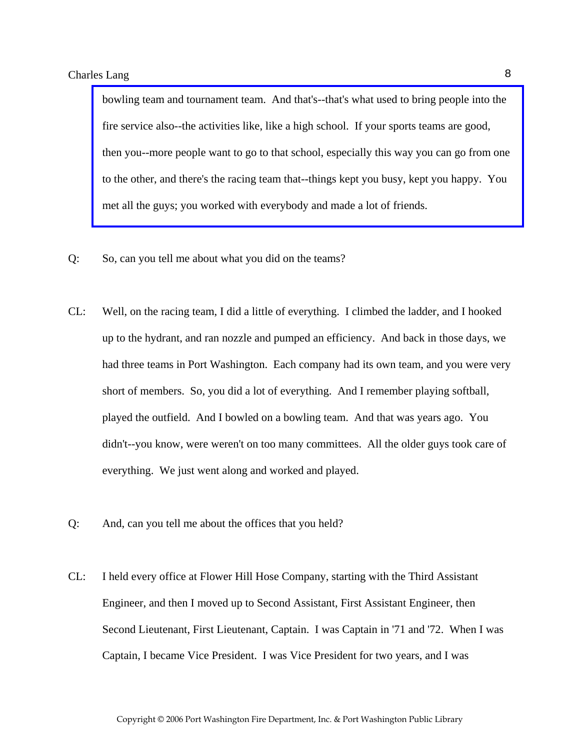bowling team and tournament team. And that's--that's what used to bring people into the fire service also--the activities like, like a high school. If your sports teams are good, [then you--more people want to go to that school, especially this way you can go from one](http://www.pwfdhistory.com/trans/langc_trans/news_cocks108a_web.jpg)  to the other, and there's the racing team that--things kept you busy, kept you happy. You met all the guys; you worked with everybody and made a lot of friends.

- Q: So, can you tell me about what you did on the teams?
- CL: Well, on the racing team, I did a little of everything. I climbed the ladder, and I hooked up to the hydrant, and ran nozzle and pumped an efficiency. And back in those days, we had three teams in Port Washington. Each company had its own team, and you were very short of members. So, you did a lot of everything. And I remember playing softball, played the outfield. And I bowled on a bowling team. And that was years ago. You didn't--you know, were weren't on too many committees. All the older guys took care of everything. We just went along and worked and played.
- Q: And, can you tell me about the offices that you held?
- CL: I held every office at Flower Hill Hose Company, starting with the Third Assistant Engineer, and then I moved up to Second Assistant, First Assistant Engineer, then Second Lieutenant, First Lieutenant, Captain. I was Captain in '71 and '72. When I was Captain, I became Vice President. I was Vice President for two years, and I was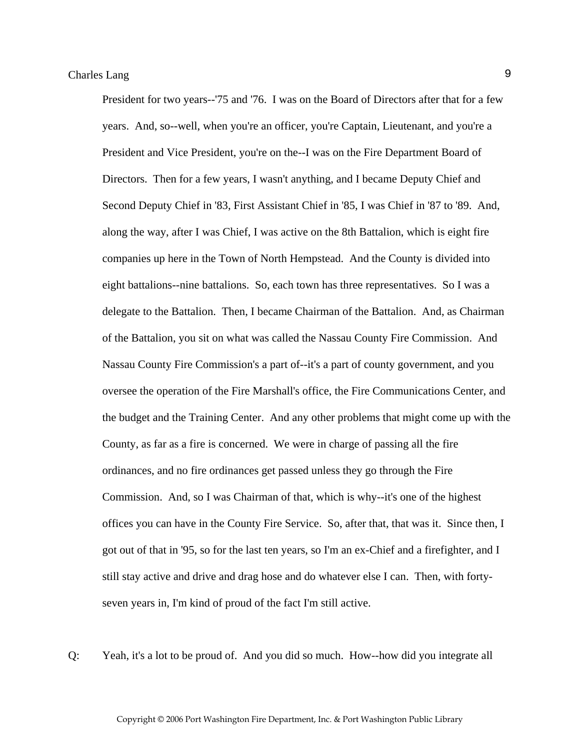President for two years--'75 and '76. I was on the Board of Directors after that for a few years. And, so--well, when you're an officer, you're Captain, Lieutenant, and you're a President and Vice President, you're on the--I was on the Fire Department Board of Directors. Then for a few years, I wasn't anything, and I became Deputy Chief and Second Deputy Chief in '83, First Assistant Chief in '85, I was Chief in '87 to '89. And, along the way, after I was Chief, I was active on the 8th Battalion, which is eight fire companies up here in the Town of North Hempstead. And the County is divided into eight battalions--nine battalions. So, each town has three representatives. So I was a delegate to the Battalion. Then, I became Chairman of the Battalion. And, as Chairman of the Battalion, you sit on what was called the Nassau County Fire Commission. And Nassau County Fire Commission's a part of--it's a part of county government, and you oversee the operation of the Fire Marshall's office, the Fire Communications Center, and the budget and the Training Center. And any other problems that might come up with the County, as far as a fire is concerned. We were in charge of passing all the fire ordinances, and no fire ordinances get passed unless they go through the Fire Commission. And, so I was Chairman of that, which is why--it's one of the highest offices you can have in the County Fire Service. So, after that, that was it. Since then, I got out of that in '95, so for the last ten years, so I'm an ex-Chief and a firefighter, and I still stay active and drive and drag hose and do whatever else I can. Then, with fortyseven years in, I'm kind of proud of the fact I'm still active.

Q: Yeah, it's a lot to be proud of. And you did so much. How--how did you integrate all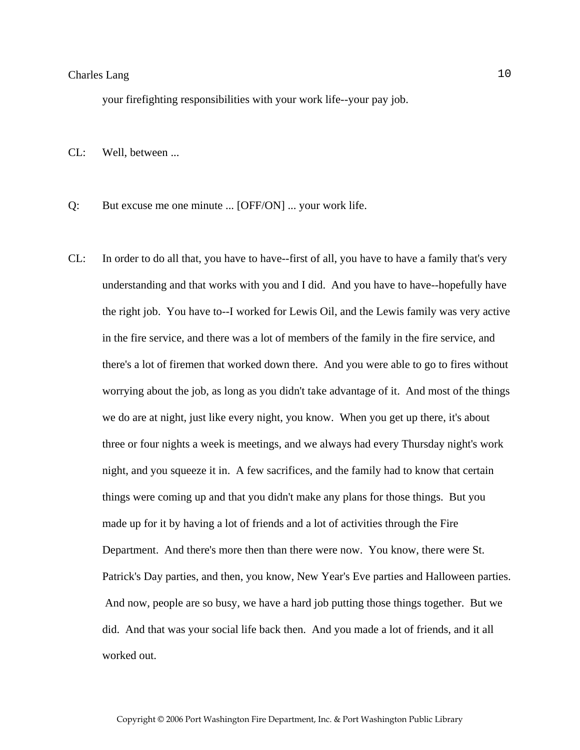your firefighting responsibilities with your work life--your pay job.

CL: Well, between ...

- Q: But excuse me one minute ... [OFF/ON] ... your work life.
- CL: In order to do all that, you have to have--first of all, you have to have a family that's very understanding and that works with you and I did. And you have to have--hopefully have the right job. You have to--I worked for Lewis Oil, and the Lewis family was very active in the fire service, and there was a lot of members of the family in the fire service, and there's a lot of firemen that worked down there. And you were able to go to fires without worrying about the job, as long as you didn't take advantage of it. And most of the things we do are at night, just like every night, you know. When you get up there, it's about three or four nights a week is meetings, and we always had every Thursday night's work night, and you squeeze it in. A few sacrifices, and the family had to know that certain things were coming up and that you didn't make any plans for those things. But you made up for it by having a lot of friends and a lot of activities through the Fire Department. And there's more then than there were now. You know, there were St. Patrick's Day parties, and then, you know, New Year's Eve parties and Halloween parties. And now, people are so busy, we have a hard job putting those things together. But we did. And that was your social life back then. And you made a lot of friends, and it all worked out.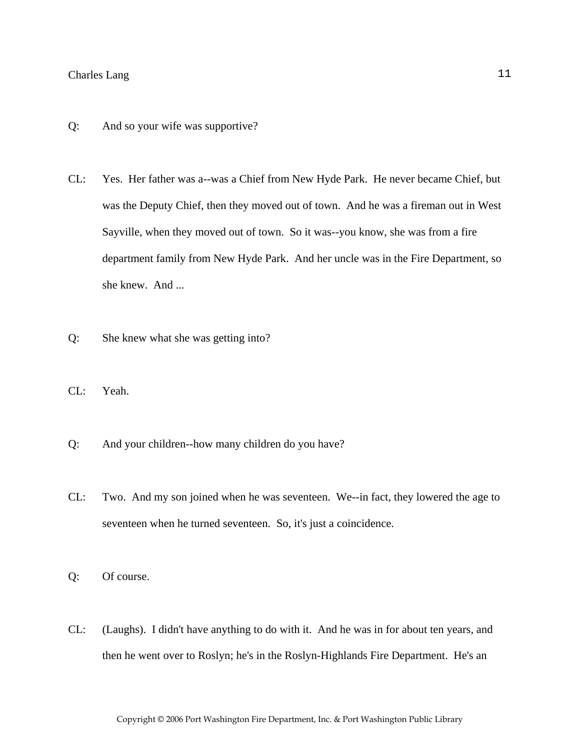- Q: And so your wife was supportive?
- CL: Yes. Her father was a--was a Chief from New Hyde Park. He never became Chief, but was the Deputy Chief, then they moved out of town. And he was a fireman out in West Sayville, when they moved out of town. So it was--you know, she was from a fire department family from New Hyde Park. And her uncle was in the Fire Department, so she knew. And ...
- Q: She knew what she was getting into?
- CL: Yeah.
- Q: And your children--how many children do you have?
- CL: Two. And my son joined when he was seventeen. We--in fact, they lowered the age to seventeen when he turned seventeen. So, it's just a coincidence.
- Q: Of course.
- CL: (Laughs). I didn't have anything to do with it. And he was in for about ten years, and then he went over to Roslyn; he's in the Roslyn-Highlands Fire Department. He's an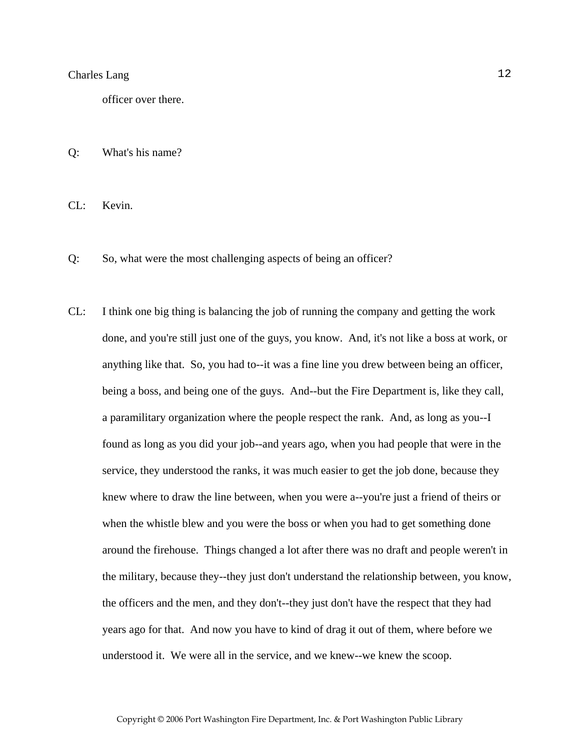officer over there.

Q: What's his name?

CL: Kevin.

- Q: So, what were the most challenging aspects of being an officer?
- CL: I think one big thing is balancing the job of running the company and getting the work done, and you're still just one of the guys, you know. And, it's not like a boss at work, or anything like that. So, you had to--it was a fine line you drew between being an officer, being a boss, and being one of the guys. And--but the Fire Department is, like they call, a paramilitary organization where the people respect the rank. And, as long as you--I found as long as you did your job--and years ago, when you had people that were in the service, they understood the ranks, it was much easier to get the job done, because they knew where to draw the line between, when you were a--you're just a friend of theirs or when the whistle blew and you were the boss or when you had to get something done around the firehouse. Things changed a lot after there was no draft and people weren't in the military, because they--they just don't understand the relationship between, you know, the officers and the men, and they don't--they just don't have the respect that they had years ago for that. And now you have to kind of drag it out of them, where before we understood it. We were all in the service, and we knew--we knew the scoop.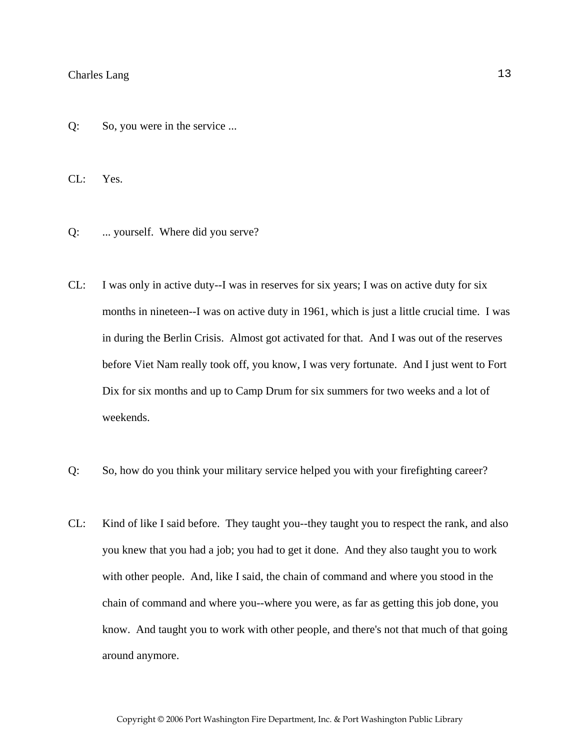Q: So, you were in the service ...

CL: Yes.

Q: ... yourself. Where did you serve?

- CL: I was only in active duty--I was in reserves for six years; I was on active duty for six months in nineteen--I was on active duty in 1961, which is just a little crucial time. I was in during the Berlin Crisis. Almost got activated for that. And I was out of the reserves before Viet Nam really took off, you know, I was very fortunate. And I just went to Fort Dix for six months and up to Camp Drum for six summers for two weeks and a lot of weekends.
- Q: So, how do you think your military service helped you with your firefighting career?
- CL: Kind of like I said before. They taught you--they taught you to respect the rank, and also you knew that you had a job; you had to get it done. And they also taught you to work with other people. And, like I said, the chain of command and where you stood in the chain of command and where you--where you were, as far as getting this job done, you know. And taught you to work with other people, and there's not that much of that going around anymore.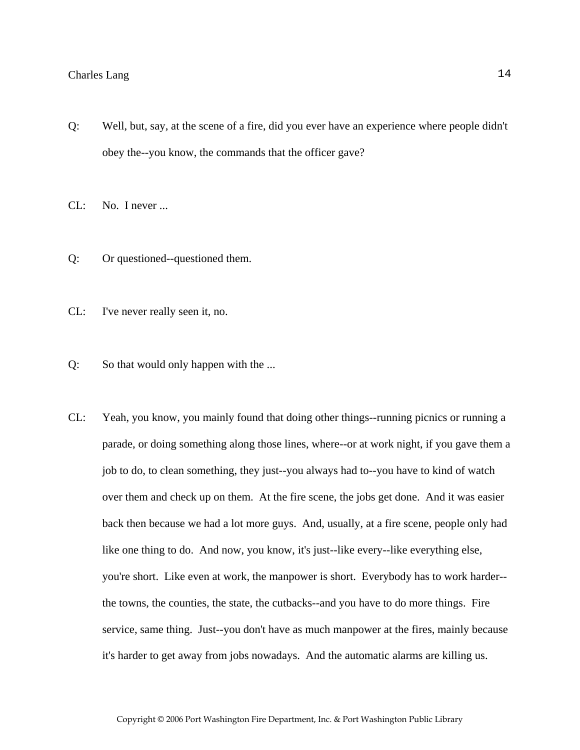- Q: Well, but, say, at the scene of a fire, did you ever have an experience where people didn't obey the--you know, the commands that the officer gave?
- CL: No. I never ...
- Q: Or questioned--questioned them.
- CL: I've never really seen it, no.
- Q: So that would only happen with the ...
- CL: Yeah, you know, you mainly found that doing other things--running picnics or running a parade, or doing something along those lines, where--or at work night, if you gave them a job to do, to clean something, they just--you always had to--you have to kind of watch over them and check up on them. At the fire scene, the jobs get done. And it was easier back then because we had a lot more guys. And, usually, at a fire scene, people only had like one thing to do. And now, you know, it's just--like every--like everything else, you're short. Like even at work, the manpower is short. Everybody has to work harder- the towns, the counties, the state, the cutbacks--and you have to do more things. Fire service, same thing. Just--you don't have as much manpower at the fires, mainly because it's harder to get away from jobs nowadays. And the automatic alarms are killing us.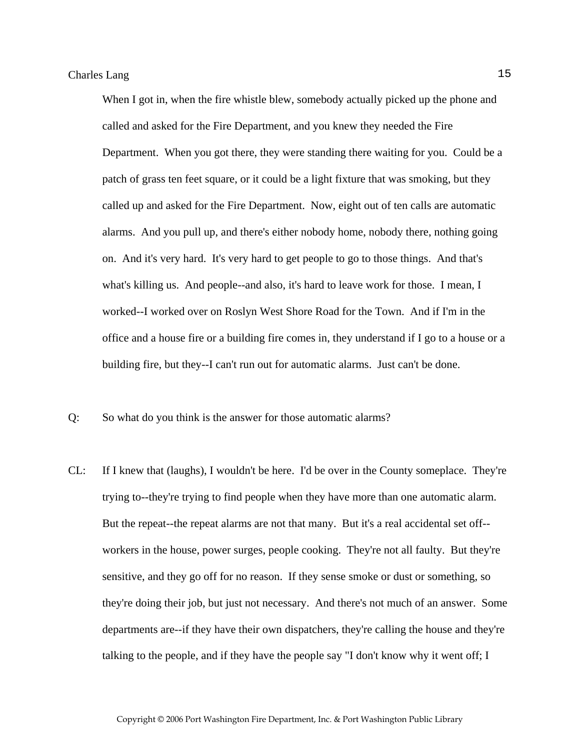When I got in, when the fire whistle blew, somebody actually picked up the phone and called and asked for the Fire Department, and you knew they needed the Fire Department. When you got there, they were standing there waiting for you. Could be a patch of grass ten feet square, or it could be a light fixture that was smoking, but they called up and asked for the Fire Department. Now, eight out of ten calls are automatic alarms. And you pull up, and there's either nobody home, nobody there, nothing going on. And it's very hard. It's very hard to get people to go to those things. And that's what's killing us. And people--and also, it's hard to leave work for those. I mean, I worked--I worked over on Roslyn West Shore Road for the Town. And if I'm in the office and a house fire or a building fire comes in, they understand if I go to a house or a building fire, but they--I can't run out for automatic alarms. Just can't be done.

- Q: So what do you think is the answer for those automatic alarms?
- CL: If I knew that (laughs), I wouldn't be here. I'd be over in the County someplace. They're trying to--they're trying to find people when they have more than one automatic alarm. But the repeat--the repeat alarms are not that many. But it's a real accidental set off- workers in the house, power surges, people cooking. They're not all faulty. But they're sensitive, and they go off for no reason. If they sense smoke or dust or something, so they're doing their job, but just not necessary. And there's not much of an answer. Some departments are--if they have their own dispatchers, they're calling the house and they're talking to the people, and if they have the people say "I don't know why it went off; I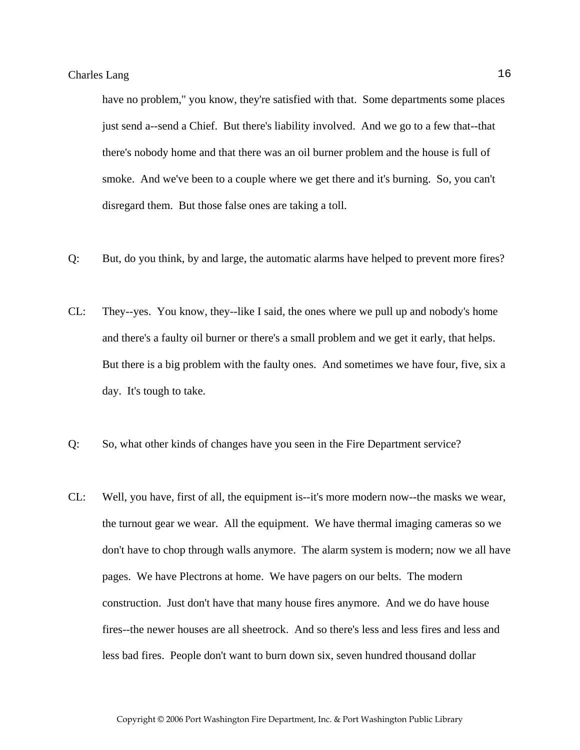have no problem," you know, they're satisfied with that. Some departments some places just send a--send a Chief. But there's liability involved. And we go to a few that--that there's nobody home and that there was an oil burner problem and the house is full of smoke. And we've been to a couple where we get there and it's burning. So, you can't disregard them. But those false ones are taking a toll.

- Q: But, do you think, by and large, the automatic alarms have helped to prevent more fires?
- CL: They--yes. You know, they--like I said, the ones where we pull up and nobody's home and there's a faulty oil burner or there's a small problem and we get it early, that helps. But there is a big problem with the faulty ones. And sometimes we have four, five, six a day. It's tough to take.
- Q: So, what other kinds of changes have you seen in the Fire Department service?
- CL: Well, you have, first of all, the equipment is--it's more modern now--the masks we wear, the turnout gear we wear. All the equipment. We have thermal imaging cameras so we don't have to chop through walls anymore. The alarm system is modern; now we all have pages. We have Plectrons at home. We have pagers on our belts. The modern construction. Just don't have that many house fires anymore. And we do have house fires--the newer houses are all sheetrock. And so there's less and less fires and less and less bad fires. People don't want to burn down six, seven hundred thousand dollar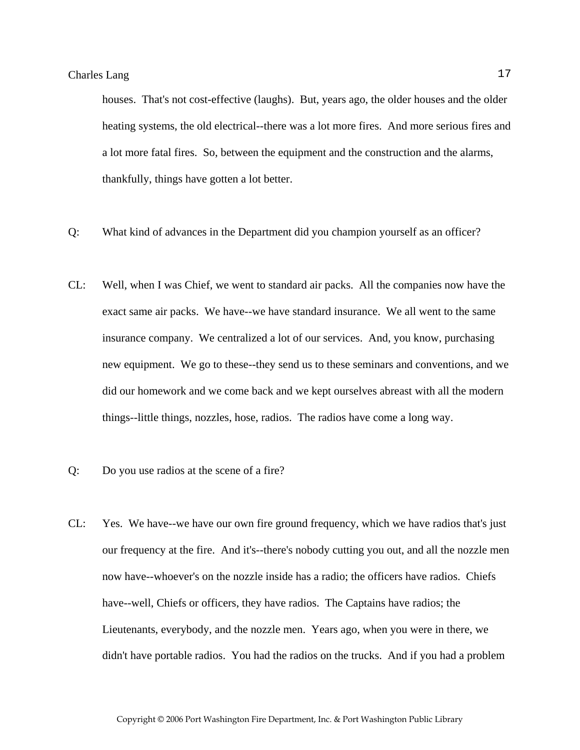houses. That's not cost-effective (laughs). But, years ago, the older houses and the older heating systems, the old electrical--there was a lot more fires. And more serious fires and a lot more fatal fires. So, between the equipment and the construction and the alarms, thankfully, things have gotten a lot better.

- Q: What kind of advances in the Department did you champion yourself as an officer?
- CL: Well, when I was Chief, we went to standard air packs. All the companies now have the exact same air packs. We have--we have standard insurance. We all went to the same insurance company. We centralized a lot of our services. And, you know, purchasing new equipment. We go to these--they send us to these seminars and conventions, and we did our homework and we come back and we kept ourselves abreast with all the modern things--little things, nozzles, hose, radios. The radios have come a long way.
- Q: Do you use radios at the scene of a fire?
- CL: Yes. We have--we have our own fire ground frequency, which we have radios that's just our frequency at the fire. And it's--there's nobody cutting you out, and all the nozzle men now have--whoever's on the nozzle inside has a radio; the officers have radios. Chiefs have--well, Chiefs or officers, they have radios. The Captains have radios; the Lieutenants, everybody, and the nozzle men. Years ago, when you were in there, we didn't have portable radios. You had the radios on the trucks. And if you had a problem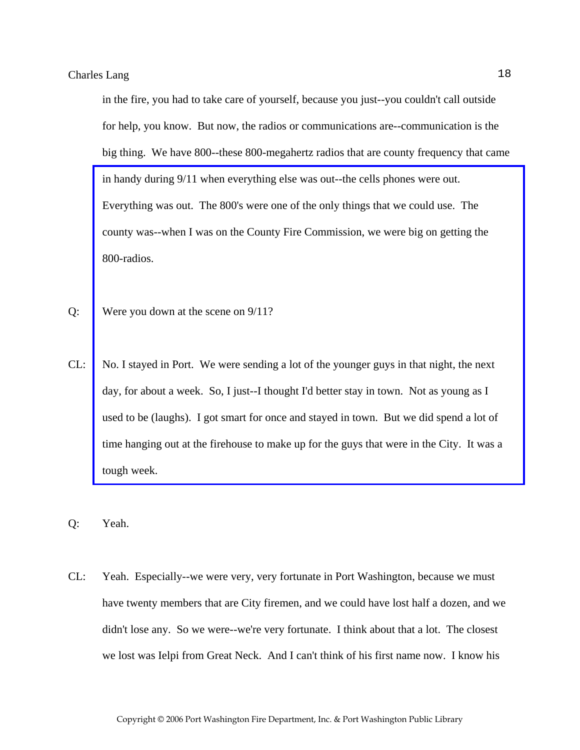in the fire, you had to take care of yourself, because you just--you couldn't call outside for help, you know. But now, the radios or communications are--communication is the big thing. We have 800--these 800-megahertz radios that are county frequency that came in handy during 9/11 when everything else was out--the cells phones were out. Everything was out. The 800's were one of the only things that we could use. The county was--when I was on the County Fire Commission, we were big on getting the 800-radios.

- Q: Were you down at the scene on 9/11?
- CL: [No. I stayed in Port. We were sending a lot of the younger guys in that night, the next](http://www.pwfdhistory.com/trans/langc_trans/pwfd_911004_web.jpg)  day, for about a week. So, I just--I thought I'd better stay in town. Not as young as I used to be (laughs). I got smart for once and stayed in town. But we did spend a lot of time hanging out at the firehouse to make up for the guys that were in the City. It was a tough week.
- Q: Yeah.
- CL: Yeah. Especially--we were very, very fortunate in Port Washington, because we must have twenty members that are City firemen, and we could have lost half a dozen, and we didn't lose any. So we were--we're very fortunate. I think about that a lot. The closest we lost was Ielpi from Great Neck. And I can't think of his first name now. I know his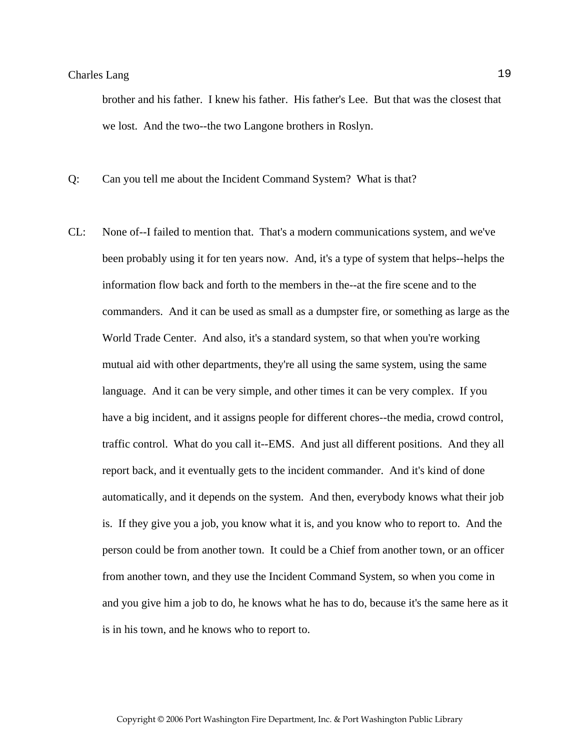brother and his father. I knew his father. His father's Lee. But that was the closest that we lost. And the two--the two Langone brothers in Roslyn.

Q: Can you tell me about the Incident Command System? What is that?

CL: None of--I failed to mention that. That's a modern communications system, and we've been probably using it for ten years now. And, it's a type of system that helps--helps the information flow back and forth to the members in the--at the fire scene and to the commanders. And it can be used as small as a dumpster fire, or something as large as the World Trade Center. And also, it's a standard system, so that when you're working mutual aid with other departments, they're all using the same system, using the same language. And it can be very simple, and other times it can be very complex. If you have a big incident, and it assigns people for different chores--the media, crowd control, traffic control. What do you call it--EMS. And just all different positions. And they all report back, and it eventually gets to the incident commander. And it's kind of done automatically, and it depends on the system. And then, everybody knows what their job is. If they give you a job, you know what it is, and you know who to report to. And the person could be from another town. It could be a Chief from another town, or an officer from another town, and they use the Incident Command System, so when you come in and you give him a job to do, he knows what he has to do, because it's the same here as it is in his town, and he knows who to report to.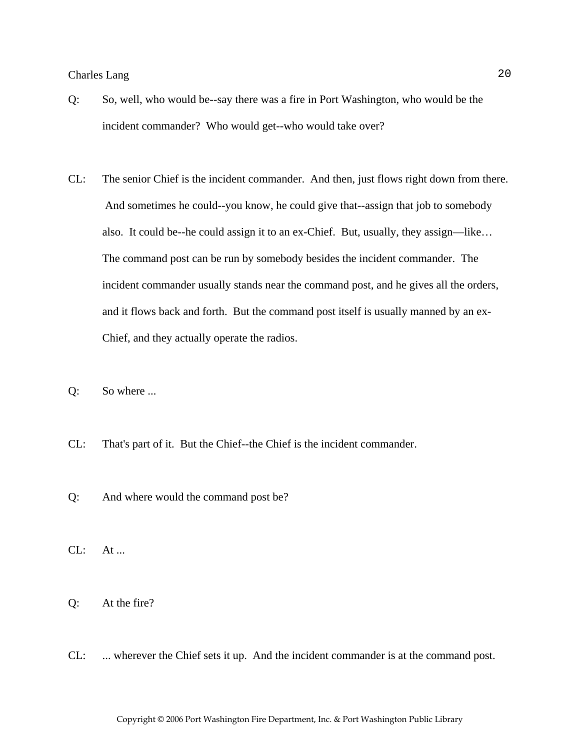- Q: So, well, who would be--say there was a fire in Port Washington, who would be the incident commander? Who would get--who would take over?
- CL: The senior Chief is the incident commander. And then, just flows right down from there. And sometimes he could--you know, he could give that--assign that job to somebody also. It could be--he could assign it to an ex-Chief. But, usually, they assign—like… The command post can be run by somebody besides the incident commander. The incident commander usually stands near the command post, and he gives all the orders, and it flows back and forth. But the command post itself is usually manned by an ex-Chief, and they actually operate the radios.
- Q: So where ...
- CL: That's part of it. But the Chief--the Chief is the incident commander.
- Q: And where would the command post be?
- $CL: At...$
- Q: At the fire?
- CL: ... wherever the Chief sets it up. And the incident commander is at the command post.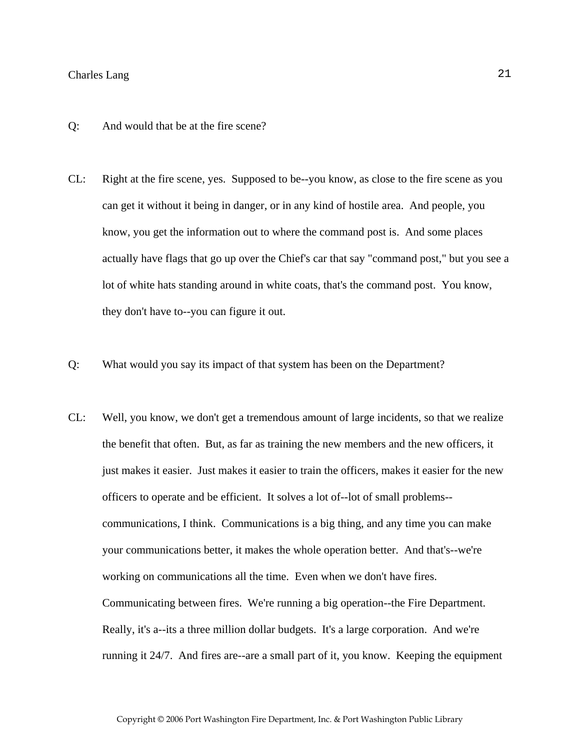- Q: And would that be at the fire scene?
- CL: Right at the fire scene, yes. Supposed to be--you know, as close to the fire scene as you can get it without it being in danger, or in any kind of hostile area. And people, you know, you get the information out to where the command post is. And some places actually have flags that go up over the Chief's car that say "command post," but you see a lot of white hats standing around in white coats, that's the command post. You know, they don't have to--you can figure it out.
- Q: What would you say its impact of that system has been on the Department?
- CL: Well, you know, we don't get a tremendous amount of large incidents, so that we realize the benefit that often. But, as far as training the new members and the new officers, it just makes it easier. Just makes it easier to train the officers, makes it easier for the new officers to operate and be efficient. It solves a lot of--lot of small problems- communications, I think. Communications is a big thing, and any time you can make your communications better, it makes the whole operation better. And that's--we're working on communications all the time. Even when we don't have fires. Communicating between fires. We're running a big operation--the Fire Department. Really, it's a--its a three million dollar budgets. It's a large corporation. And we're running it 24/7. And fires are--are a small part of it, you know. Keeping the equipment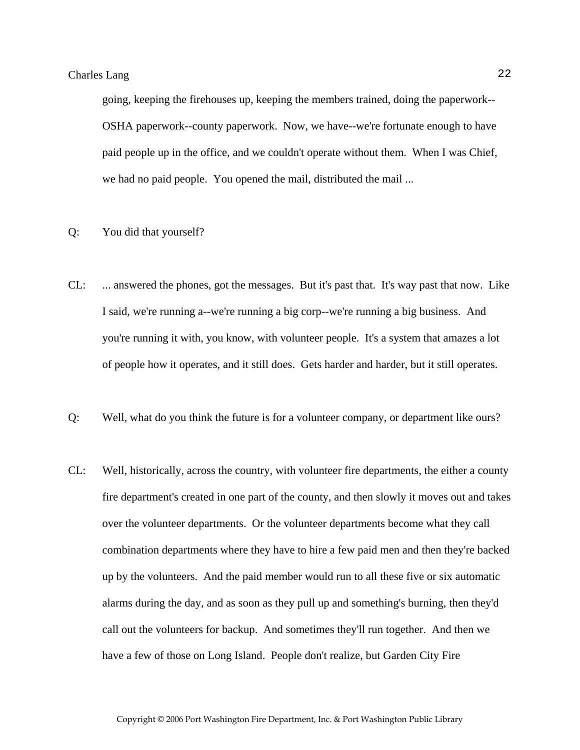going, keeping the firehouses up, keeping the members trained, doing the paperwork-- OSHA paperwork--county paperwork. Now, we have--we're fortunate enough to have paid people up in the office, and we couldn't operate without them. When I was Chief, we had no paid people. You opened the mail, distributed the mail ...

- Q: You did that yourself?
- CL: ... answered the phones, got the messages. But it's past that. It's way past that now. Like I said, we're running a--we're running a big corp--we're running a big business. And you're running it with, you know, with volunteer people. It's a system that amazes a lot of people how it operates, and it still does. Gets harder and harder, but it still operates.
- Q: Well, what do you think the future is for a volunteer company, or department like ours?
- CL: Well, historically, across the country, with volunteer fire departments, the either a county fire department's created in one part of the county, and then slowly it moves out and takes over the volunteer departments. Or the volunteer departments become what they call combination departments where they have to hire a few paid men and then they're backed up by the volunteers. And the paid member would run to all these five or six automatic alarms during the day, and as soon as they pull up and something's burning, then they'd call out the volunteers for backup. And sometimes they'll run together. And then we have a few of those on Long Island. People don't realize, but Garden City Fire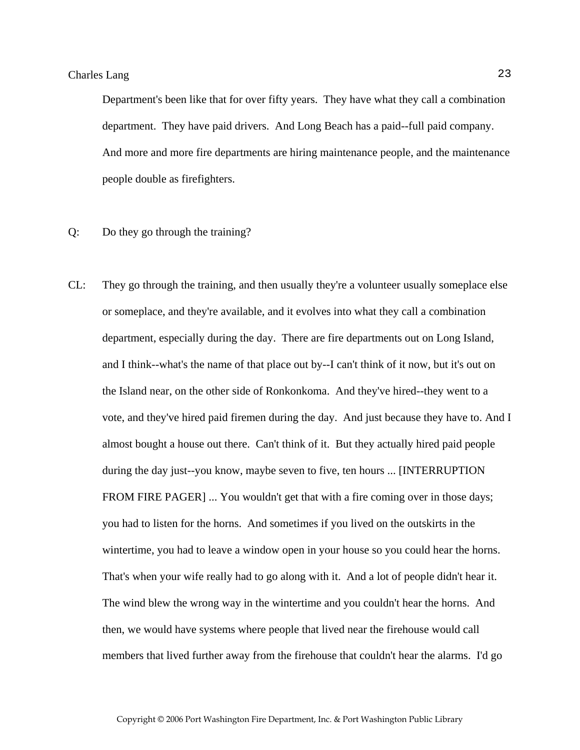Department's been like that for over fifty years. They have what they call a combination department. They have paid drivers. And Long Beach has a paid--full paid company. And more and more fire departments are hiring maintenance people, and the maintenance people double as firefighters.

- Q: Do they go through the training?
- CL: They go through the training, and then usually they're a volunteer usually someplace else or someplace, and they're available, and it evolves into what they call a combination department, especially during the day. There are fire departments out on Long Island, and I think--what's the name of that place out by--I can't think of it now, but it's out on the Island near, on the other side of Ronkonkoma. And they've hired--they went to a vote, and they've hired paid firemen during the day. And just because they have to. And I almost bought a house out there. Can't think of it. But they actually hired paid people during the day just--you know, maybe seven to five, ten hours ... [INTERRUPTION FROM FIRE PAGER] ... You wouldn't get that with a fire coming over in those days; you had to listen for the horns. And sometimes if you lived on the outskirts in the wintertime, you had to leave a window open in your house so you could hear the horns. That's when your wife really had to go along with it. And a lot of people didn't hear it. The wind blew the wrong way in the wintertime and you couldn't hear the horns. And then, we would have systems where people that lived near the firehouse would call members that lived further away from the firehouse that couldn't hear the alarms. I'd go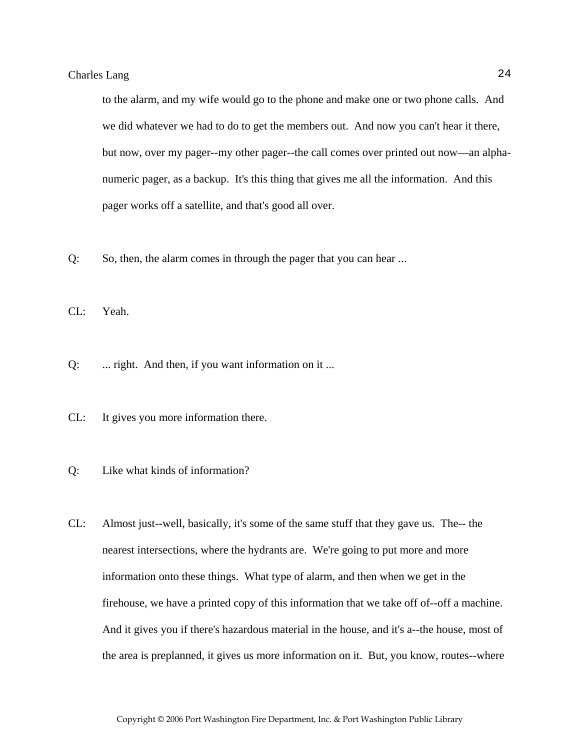to the alarm, and my wife would go to the phone and make one or two phone calls. And we did whatever we had to do to get the members out. And now you can't hear it there, but now, over my pager--my other pager--the call comes over printed out now—an alphanumeric pager, as a backup. It's this thing that gives me all the information. And this pager works off a satellite, and that's good all over.

Q: So, then, the alarm comes in through the pager that you can hear ...

CL: Yeah.

- Q: ... right. And then, if you want information on it ...
- CL: It gives you more information there.
- Q: Like what kinds of information?
- CL: Almost just--well, basically, it's some of the same stuff that they gave us. The-- the nearest intersections, where the hydrants are. We're going to put more and more information onto these things. What type of alarm, and then when we get in the firehouse, we have a printed copy of this information that we take off of--off a machine. And it gives you if there's hazardous material in the house, and it's a--the house, most of the area is preplanned, it gives us more information on it. But, you know, routes--where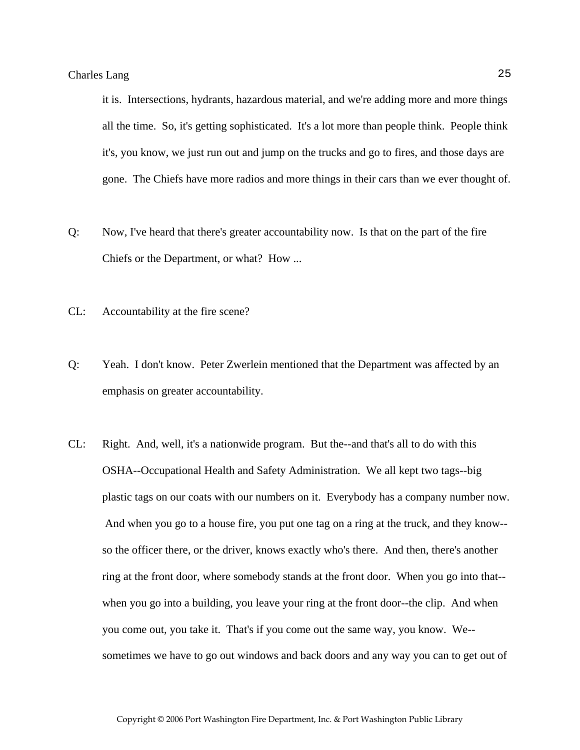it is. Intersections, hydrants, hazardous material, and we're adding more and more things all the time. So, it's getting sophisticated. It's a lot more than people think. People think it's, you know, we just run out and jump on the trucks and go to fires, and those days are gone. The Chiefs have more radios and more things in their cars than we ever thought of.

- Q: Now, I've heard that there's greater accountability now. Is that on the part of the fire Chiefs or the Department, or what? How ...
- CL: Accountability at the fire scene?
- Q: Yeah. I don't know. Peter Zwerlein mentioned that the Department was affected by an emphasis on greater accountability.
- CL: Right. And, well, it's a nationwide program. But the--and that's all to do with this OSHA--Occupational Health and Safety Administration. We all kept two tags--big plastic tags on our coats with our numbers on it. Everybody has a company number now. And when you go to a house fire, you put one tag on a ring at the truck, and they know- so the officer there, or the driver, knows exactly who's there. And then, there's another ring at the front door, where somebody stands at the front door. When you go into that- when you go into a building, you leave your ring at the front door--the clip. And when you come out, you take it. That's if you come out the same way, you know. We- sometimes we have to go out windows and back doors and any way you can to get out of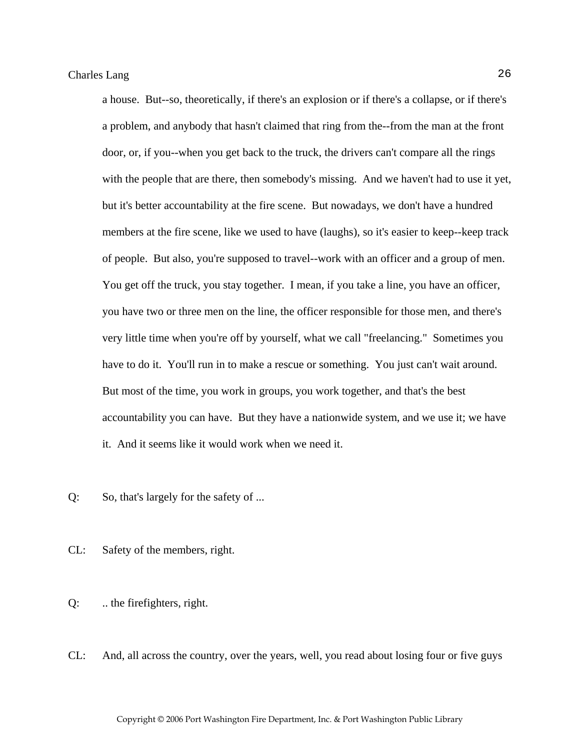a house. But--so, theoretically, if there's an explosion or if there's a collapse, or if there's a problem, and anybody that hasn't claimed that ring from the--from the man at the front door, or, if you--when you get back to the truck, the drivers can't compare all the rings with the people that are there, then somebody's missing. And we haven't had to use it yet, but it's better accountability at the fire scene. But nowadays, we don't have a hundred members at the fire scene, like we used to have (laughs), so it's easier to keep--keep track of people. But also, you're supposed to travel--work with an officer and a group of men. You get off the truck, you stay together. I mean, if you take a line, you have an officer, you have two or three men on the line, the officer responsible for those men, and there's very little time when you're off by yourself, what we call "freelancing." Sometimes you have to do it. You'll run in to make a rescue or something. You just can't wait around. But most of the time, you work in groups, you work together, and that's the best accountability you can have. But they have a nationwide system, and we use it; we have it. And it seems like it would work when we need it.

Q: So, that's largely for the safety of ...

- CL: Safety of the members, right.
- Q: .. the firefighters, right.
- CL: And, all across the country, over the years, well, you read about losing four or five guys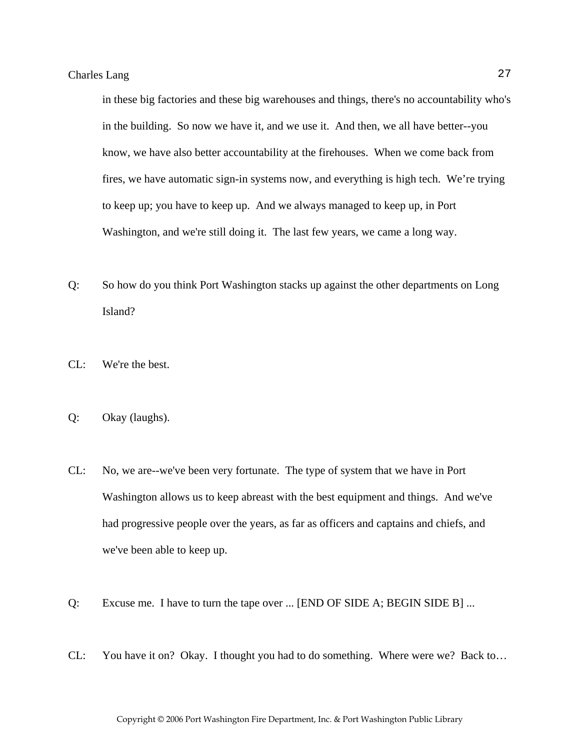in these big factories and these big warehouses and things, there's no accountability who's in the building. So now we have it, and we use it. And then, we all have better--you know, we have also better accountability at the firehouses. When we come back from fires, we have automatic sign-in systems now, and everything is high tech. We're trying to keep up; you have to keep up. And we always managed to keep up, in Port Washington, and we're still doing it. The last few years, we came a long way.

- Q: So how do you think Port Washington stacks up against the other departments on Long Island?
- CL: We're the best.
- Q: Okay (laughs).
- CL: No, we are--we've been very fortunate. The type of system that we have in Port Washington allows us to keep abreast with the best equipment and things. And we've had progressive people over the years, as far as officers and captains and chiefs, and we've been able to keep up.
- Q: Excuse me. I have to turn the tape over ... [END OF SIDE A; BEGIN SIDE B] ...
- CL: You have it on? Okay. I thought you had to do something. Where were we? Back to…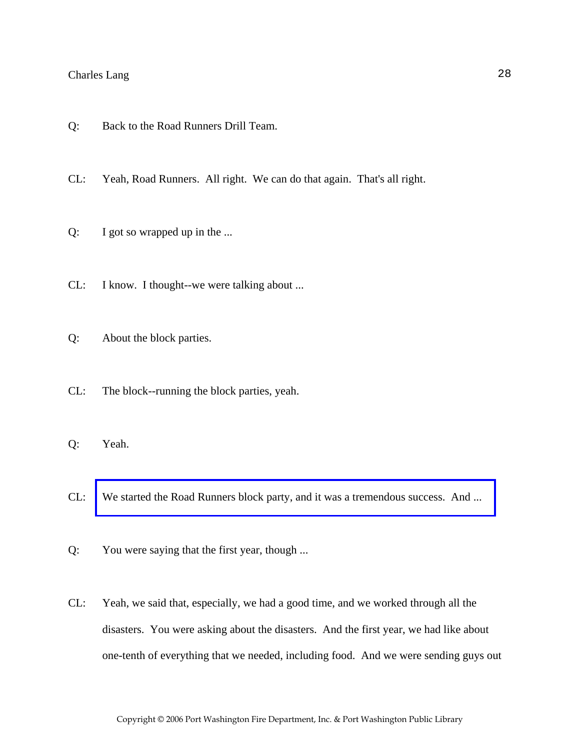- Q: Back to the Road Runners Drill Team.
- CL: Yeah, Road Runners. All right. We can do that again. That's all right.
- Q: I got so wrapped up in the ...
- CL: I know. I thought--we were talking about ...
- Q: About the block parties.
- CL: The block--running the block parties, yeah.
- Q: Yeah.
- CL: [We started the Road Runners block party, and it was a tremendous success. And ...](http://www.pwfdhistory.com/trans/langc_trans/news_cocks279a.jpg)
- Q: You were saying that the first year, though ...
- CL: Yeah, we said that, especially, we had a good time, and we worked through all the disasters. You were asking about the disasters. And the first year, we had like about one-tenth of everything that we needed, including food. And we were sending guys out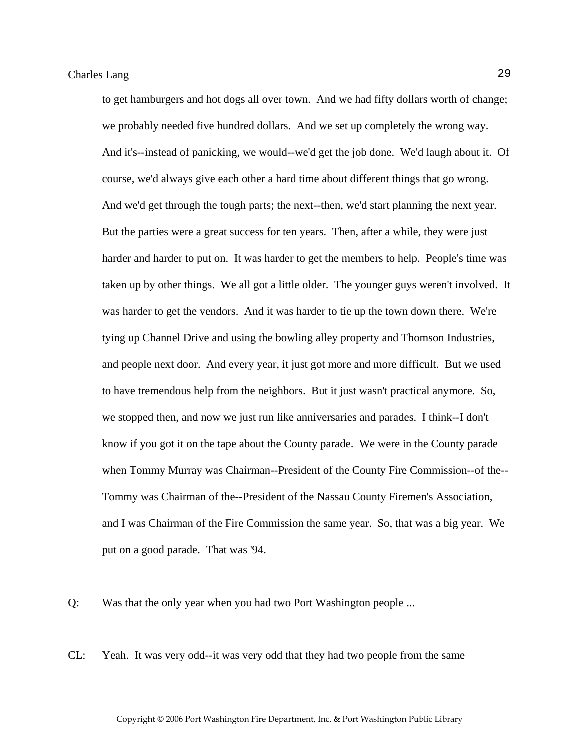to get hamburgers and hot dogs all over town. And we had fifty dollars worth of change; we probably needed five hundred dollars. And we set up completely the wrong way. And it's--instead of panicking, we would--we'd get the job done. We'd laugh about it. Of course, we'd always give each other a hard time about different things that go wrong. And we'd get through the tough parts; the next--then, we'd start planning the next year. But the parties were a great success for ten years. Then, after a while, they were just harder and harder to put on. It was harder to get the members to help. People's time was taken up by other things. We all got a little older. The younger guys weren't involved. It was harder to get the vendors. And it was harder to tie up the town down there. We're tying up Channel Drive and using the bowling alley property and Thomson Industries, and people next door. And every year, it just got more and more difficult. But we used to have tremendous help from the neighbors. But it just wasn't practical anymore. So, we stopped then, and now we just run like anniversaries and parades. I think--I don't know if you got it on the tape about the County parade. We were in the County parade when Tommy Murray was Chairman--President of the County Fire Commission--of the-- Tommy was Chairman of the--President of the Nassau County Firemen's Association, and I was Chairman of the Fire Commission the same year. So, that was a big year. We put on a good parade. That was '94.

Q: Was that the only year when you had two Port Washington people ...

CL: Yeah. It was very odd--it was very odd that they had two people from the same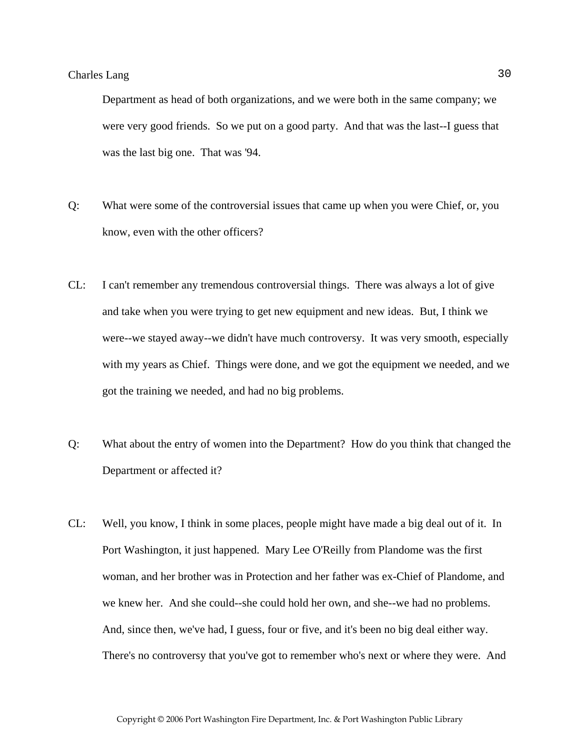Department as head of both organizations, and we were both in the same company; we were very good friends. So we put on a good party. And that was the last--I guess that was the last big one. That was '94.

- Q: What were some of the controversial issues that came up when you were Chief, or, you know, even with the other officers?
- CL: I can't remember any tremendous controversial things. There was always a lot of give and take when you were trying to get new equipment and new ideas. But, I think we were--we stayed away--we didn't have much controversy. It was very smooth, especially with my years as Chief. Things were done, and we got the equipment we needed, and we got the training we needed, and had no big problems.
- Q: What about the entry of women into the Department? How do you think that changed the Department or affected it?
- CL: Well, you know, I think in some places, people might have made a big deal out of it. In Port Washington, it just happened. Mary Lee O'Reilly from Plandome was the first woman, and her brother was in Protection and her father was ex-Chief of Plandome, and we knew her. And she could--she could hold her own, and she--we had no problems. And, since then, we've had, I guess, four or five, and it's been no big deal either way. There's no controversy that you've got to remember who's next or where they were. And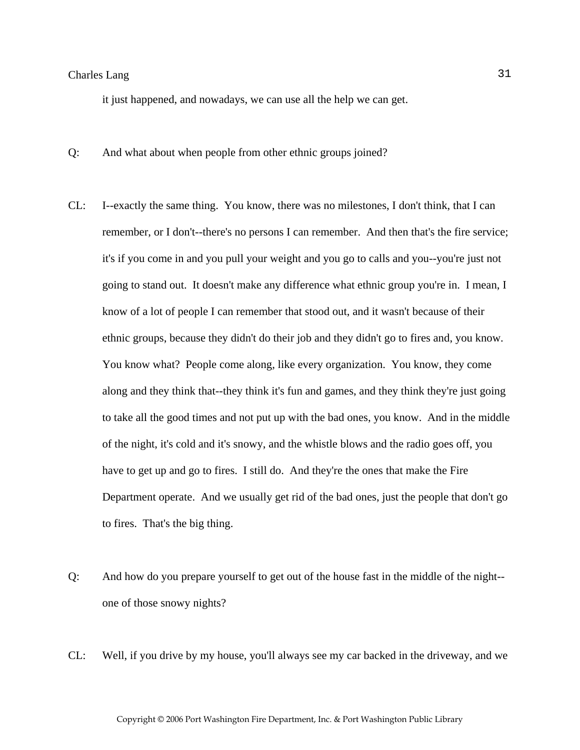it just happened, and nowadays, we can use all the help we can get.

- Q: And what about when people from other ethnic groups joined?
- CL: I--exactly the same thing. You know, there was no milestones, I don't think, that I can remember, or I don't--there's no persons I can remember. And then that's the fire service; it's if you come in and you pull your weight and you go to calls and you--you're just not going to stand out. It doesn't make any difference what ethnic group you're in. I mean, I know of a lot of people I can remember that stood out, and it wasn't because of their ethnic groups, because they didn't do their job and they didn't go to fires and, you know. You know what? People come along, like every organization. You know, they come along and they think that--they think it's fun and games, and they think they're just going to take all the good times and not put up with the bad ones, you know. And in the middle of the night, it's cold and it's snowy, and the whistle blows and the radio goes off, you have to get up and go to fires. I still do. And they're the ones that make the Fire Department operate. And we usually get rid of the bad ones, just the people that don't go to fires. That's the big thing.
- Q: And how do you prepare yourself to get out of the house fast in the middle of the night- one of those snowy nights?
- CL: Well, if you drive by my house, you'll always see my car backed in the driveway, and we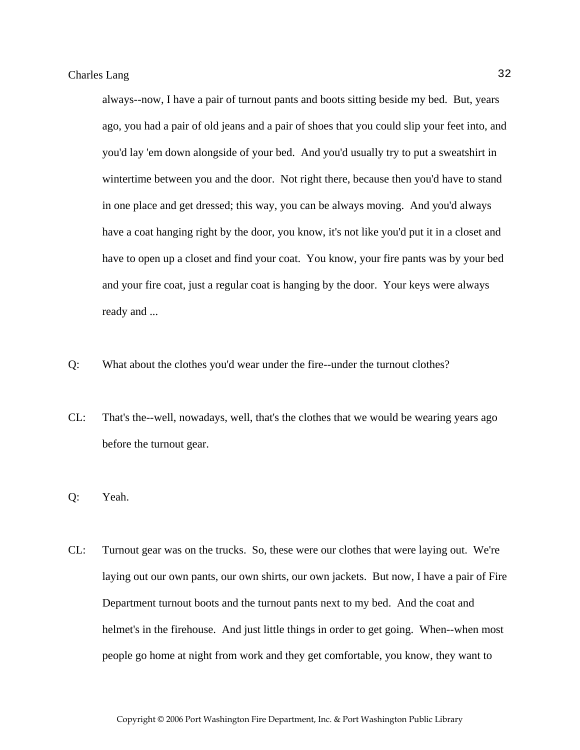always--now, I have a pair of turnout pants and boots sitting beside my bed. But, years ago, you had a pair of old jeans and a pair of shoes that you could slip your feet into, and you'd lay 'em down alongside of your bed. And you'd usually try to put a sweatshirt in wintertime between you and the door. Not right there, because then you'd have to stand in one place and get dressed; this way, you can be always moving. And you'd always have a coat hanging right by the door, you know, it's not like you'd put it in a closet and have to open up a closet and find your coat. You know, your fire pants was by your bed and your fire coat, just a regular coat is hanging by the door. Your keys were always ready and ...

- Q: What about the clothes you'd wear under the fire--under the turnout clothes?
- CL: That's the--well, nowadays, well, that's the clothes that we would be wearing years ago before the turnout gear.
- Q: Yeah.
- CL: Turnout gear was on the trucks. So, these were our clothes that were laying out. We're laying out our own pants, our own shirts, our own jackets. But now, I have a pair of Fire Department turnout boots and the turnout pants next to my bed. And the coat and helmet's in the firehouse. And just little things in order to get going. When--when most people go home at night from work and they get comfortable, you know, they want to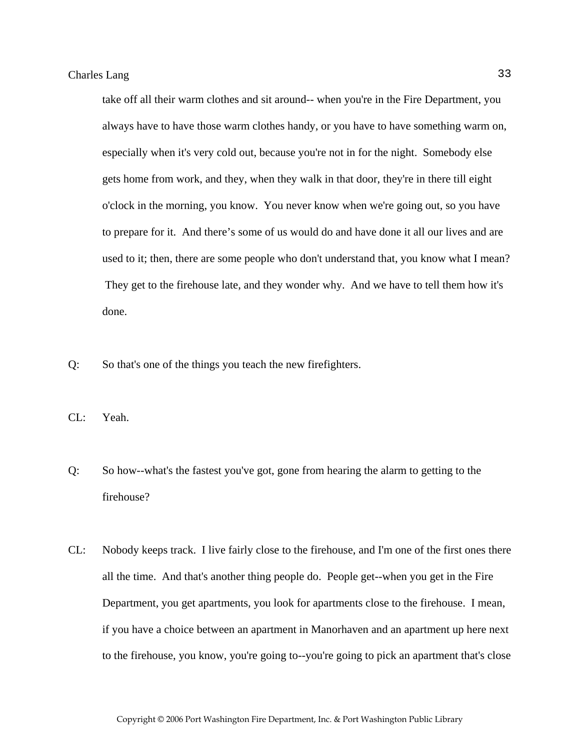take off all their warm clothes and sit around-- when you're in the Fire Department, you always have to have those warm clothes handy, or you have to have something warm on, especially when it's very cold out, because you're not in for the night. Somebody else gets home from work, and they, when they walk in that door, they're in there till eight o'clock in the morning, you know. You never know when we're going out, so you have to prepare for it. And there's some of us would do and have done it all our lives and are used to it; then, there are some people who don't understand that, you know what I mean? They get to the firehouse late, and they wonder why. And we have to tell them how it's done.

Q: So that's one of the things you teach the new firefighters.

CL: Yeah.

- Q: So how--what's the fastest you've got, gone from hearing the alarm to getting to the firehouse?
- CL: Nobody keeps track. I live fairly close to the firehouse, and I'm one of the first ones there all the time. And that's another thing people do. People get--when you get in the Fire Department, you get apartments, you look for apartments close to the firehouse. I mean, if you have a choice between an apartment in Manorhaven and an apartment up here next to the firehouse, you know, you're going to--you're going to pick an apartment that's close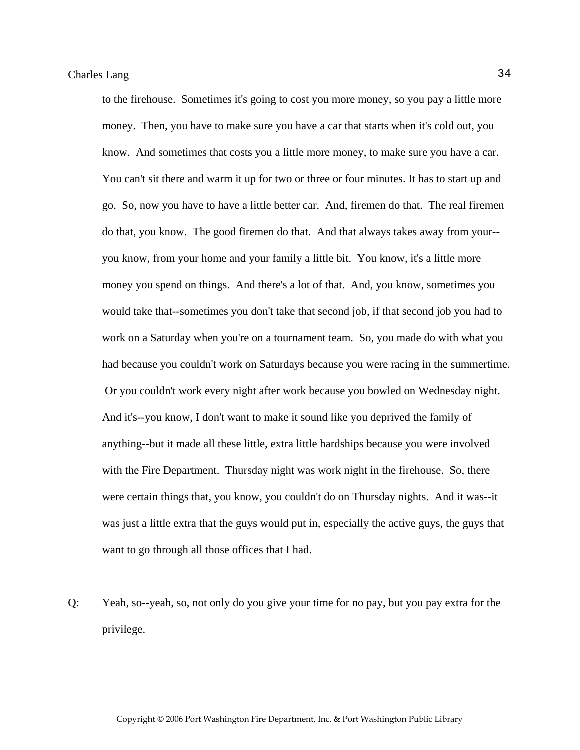to the firehouse. Sometimes it's going to cost you more money, so you pay a little more money. Then, you have to make sure you have a car that starts when it's cold out, you know. And sometimes that costs you a little more money, to make sure you have a car. You can't sit there and warm it up for two or three or four minutes. It has to start up and go. So, now you have to have a little better car. And, firemen do that. The real firemen do that, you know. The good firemen do that. And that always takes away from your- you know, from your home and your family a little bit. You know, it's a little more money you spend on things. And there's a lot of that. And, you know, sometimes you would take that--sometimes you don't take that second job, if that second job you had to work on a Saturday when you're on a tournament team. So, you made do with what you had because you couldn't work on Saturdays because you were racing in the summertime. Or you couldn't work every night after work because you bowled on Wednesday night. And it's--you know, I don't want to make it sound like you deprived the family of anything--but it made all these little, extra little hardships because you were involved with the Fire Department. Thursday night was work night in the firehouse. So, there were certain things that, you know, you couldn't do on Thursday nights. And it was--it was just a little extra that the guys would put in, especially the active guys, the guys that want to go through all those offices that I had.

Q: Yeah, so--yeah, so, not only do you give your time for no pay, but you pay extra for the privilege.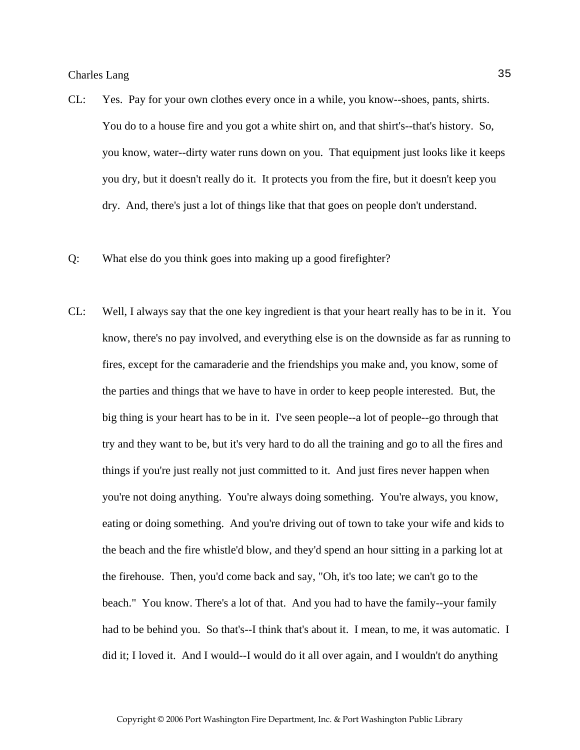- CL: Yes. Pay for your own clothes every once in a while, you know--shoes, pants, shirts. You do to a house fire and you got a white shirt on, and that shirt's--that's history. So, you know, water--dirty water runs down on you. That equipment just looks like it keeps you dry, but it doesn't really do it. It protects you from the fire, but it doesn't keep you dry. And, there's just a lot of things like that that goes on people don't understand.
- Q: What else do you think goes into making up a good firefighter?
- CL: Well, I always say that the one key ingredient is that your heart really has to be in it. You know, there's no pay involved, and everything else is on the downside as far as running to fires, except for the camaraderie and the friendships you make and, you know, some of the parties and things that we have to have in order to keep people interested. But, the big thing is your heart has to be in it. I've seen people--a lot of people--go through that try and they want to be, but it's very hard to do all the training and go to all the fires and things if you're just really not just committed to it. And just fires never happen when you're not doing anything. You're always doing something. You're always, you know, eating or doing something. And you're driving out of town to take your wife and kids to the beach and the fire whistle'd blow, and they'd spend an hour sitting in a parking lot at the firehouse. Then, you'd come back and say, "Oh, it's too late; we can't go to the beach." You know. There's a lot of that. And you had to have the family--your family had to be behind you. So that's--I think that's about it. I mean, to me, it was automatic. I did it; I loved it. And I would--I would do it all over again, and I wouldn't do anything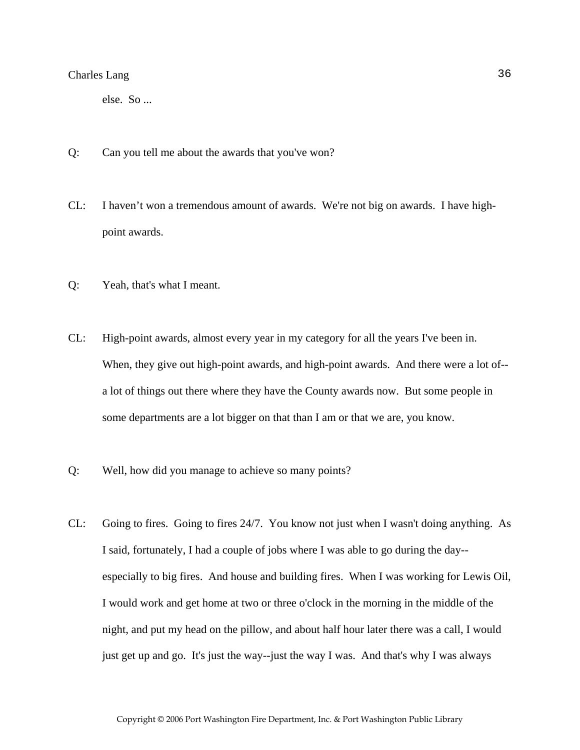else. So ...

- Q: Can you tell me about the awards that you've won?
- CL: I haven't won a tremendous amount of awards. We're not big on awards. I have highpoint awards.
- Q: Yeah, that's what I meant.
- CL: High-point awards, almost every year in my category for all the years I've been in. When, they give out high-point awards, and high-point awards. And there were a lot of- a lot of things out there where they have the County awards now. But some people in some departments are a lot bigger on that than I am or that we are, you know.
- Q: Well, how did you manage to achieve so many points?
- CL: Going to fires. Going to fires 24/7. You know not just when I wasn't doing anything. As I said, fortunately, I had a couple of jobs where I was able to go during the day- especially to big fires. And house and building fires. When I was working for Lewis Oil, I would work and get home at two or three o'clock in the morning in the middle of the night, and put my head on the pillow, and about half hour later there was a call, I would just get up and go. It's just the way--just the way I was. And that's why I was always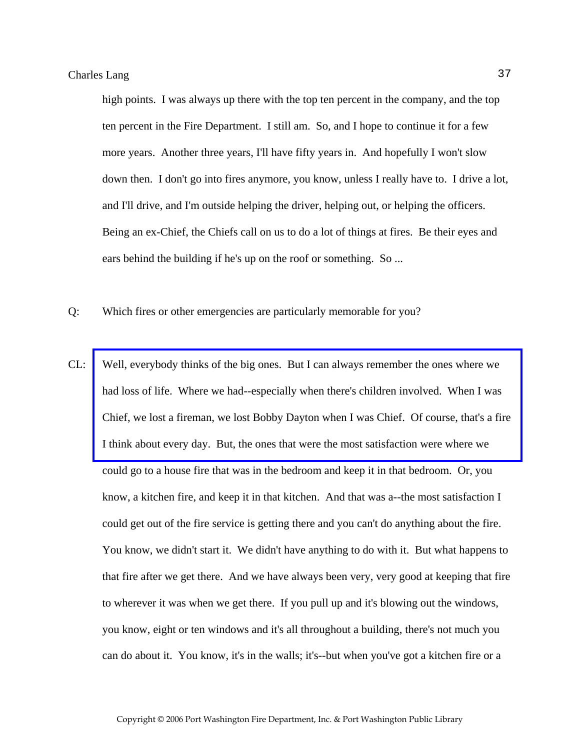high points. I was always up there with the top ten percent in the company, and the top ten percent in the Fire Department. I still am. So, and I hope to continue it for a few more years. Another three years, I'll have fifty years in. And hopefully I won't slow down then. I don't go into fires anymore, you know, unless I really have to. I drive a lot, and I'll drive, and I'm outside helping the driver, helping out, or helping the officers. Being an ex-Chief, the Chiefs call on us to do a lot of things at fires. Be their eyes and ears behind the building if he's up on the roof or something. So ...

- Q: Which fires or other emergencies are particularly memorable for you?
- CL: Well, everybody thinks of the big ones. But I can always remember the ones where we had loss of life. Where we had--especially when there's children involved. When I was [Chief, we lost a fireman, we lost Bobby Dayton when I was Chief. Of course, that's a fire](http://www.pwfdhistory.com/trans/langc_trans/pnews881128_web.pdf)  I think about every day. But, the ones that were the most satisfaction were where we could go to a house fire that was in the bedroom and keep it in that bedroom. Or, you know, a kitchen fire, and keep it in that kitchen. And that was a--the most satisfaction I could get out of the fire service is getting there and you can't do anything about the fire. You know, we didn't start it. We didn't have anything to do with it. But what happens to that fire after we get there. And we have always been very, very good at keeping that fire to wherever it was when we get there. If you pull up and it's blowing out the windows, you know, eight or ten windows and it's all throughout a building, there's not much you can do about it. You know, it's in the walls; it's--but when you've got a kitchen fire or a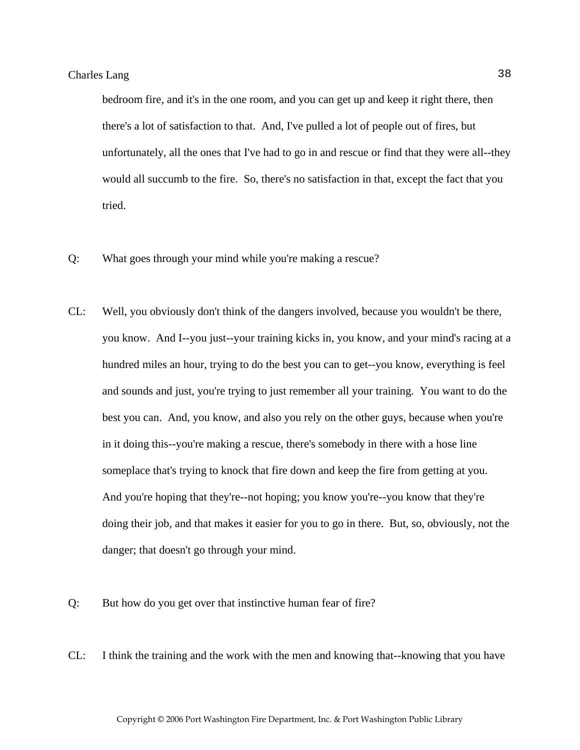bedroom fire, and it's in the one room, and you can get up and keep it right there, then there's a lot of satisfaction to that. And, I've pulled a lot of people out of fires, but unfortunately, all the ones that I've had to go in and rescue or find that they were all--they would all succumb to the fire. So, there's no satisfaction in that, except the fact that you tried.

- Q: What goes through your mind while you're making a rescue?
- CL: Well, you obviously don't think of the dangers involved, because you wouldn't be there, you know. And I--you just--your training kicks in, you know, and your mind's racing at a hundred miles an hour, trying to do the best you can to get--you know, everything is feel and sounds and just, you're trying to just remember all your training. You want to do the best you can. And, you know, and also you rely on the other guys, because when you're in it doing this--you're making a rescue, there's somebody in there with a hose line someplace that's trying to knock that fire down and keep the fire from getting at you. And you're hoping that they're--not hoping; you know you're--you know that they're doing their job, and that makes it easier for you to go in there. But, so, obviously, not the danger; that doesn't go through your mind.
- Q: But how do you get over that instinctive human fear of fire?
- CL: I think the training and the work with the men and knowing that--knowing that you have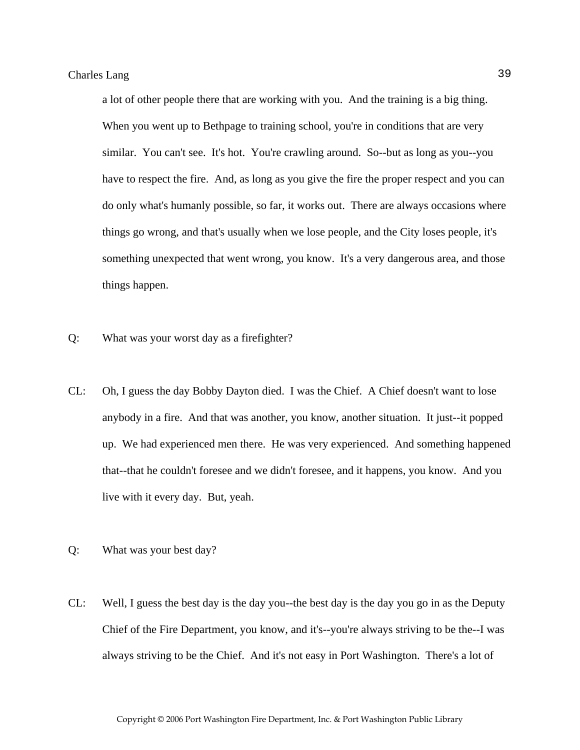a lot of other people there that are working with you. And the training is a big thing. When you went up to Bethpage to training school, you're in conditions that are very similar. You can't see. It's hot. You're crawling around. So--but as long as you--you have to respect the fire. And, as long as you give the fire the proper respect and you can do only what's humanly possible, so far, it works out. There are always occasions where things go wrong, and that's usually when we lose people, and the City loses people, it's something unexpected that went wrong, you know. It's a very dangerous area, and those things happen.

- Q: What was your worst day as a firefighter?
- CL: Oh, I guess the day Bobby Dayton died. I was the Chief. A Chief doesn't want to lose anybody in a fire. And that was another, you know, another situation. It just--it popped up. We had experienced men there. He was very experienced. And something happened that--that he couldn't foresee and we didn't foresee, and it happens, you know. And you live with it every day. But, yeah.
- Q: What was your best day?
- CL: Well, I guess the best day is the day you--the best day is the day you go in as the Deputy Chief of the Fire Department, you know, and it's--you're always striving to be the--I was always striving to be the Chief. And it's not easy in Port Washington. There's a lot of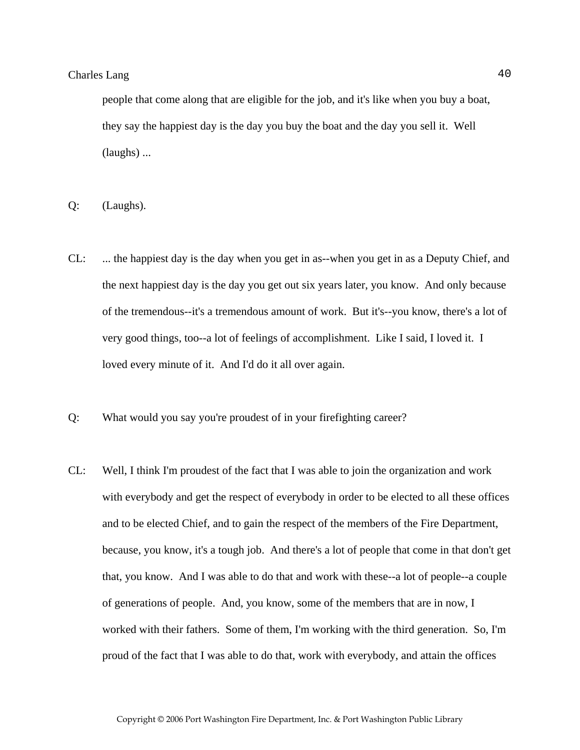people that come along that are eligible for the job, and it's like when you buy a boat, they say the happiest day is the day you buy the boat and the day you sell it. Well (laughs) ...

- Q: (Laughs).
- CL: ... the happiest day is the day when you get in as--when you get in as a Deputy Chief, and the next happiest day is the day you get out six years later, you know. And only because of the tremendous--it's a tremendous amount of work. But it's--you know, there's a lot of very good things, too--a lot of feelings of accomplishment. Like I said, I loved it. I loved every minute of it. And I'd do it all over again.
- Q: What would you say you're proudest of in your firefighting career?
- CL: Well, I think I'm proudest of the fact that I was able to join the organization and work with everybody and get the respect of everybody in order to be elected to all these offices and to be elected Chief, and to gain the respect of the members of the Fire Department, because, you know, it's a tough job. And there's a lot of people that come in that don't get that, you know. And I was able to do that and work with these--a lot of people--a couple of generations of people. And, you know, some of the members that are in now, I worked with their fathers. Some of them, I'm working with the third generation. So, I'm proud of the fact that I was able to do that, work with everybody, and attain the offices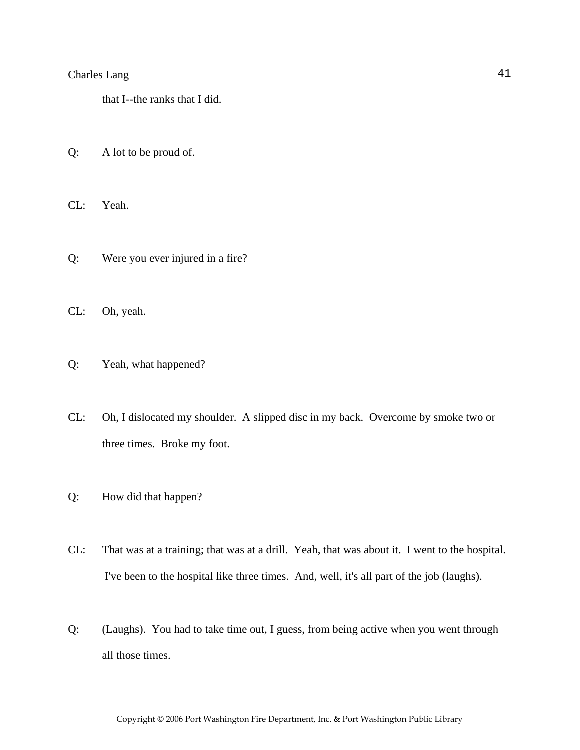that I--the ranks that I did.

- Q: A lot to be proud of.
- CL: Yeah.
- Q: Were you ever injured in a fire?
- CL: Oh, yeah.
- Q: Yeah, what happened?
- CL: Oh, I dislocated my shoulder. A slipped disc in my back. Overcome by smoke two or three times. Broke my foot.
- Q: How did that happen?
- CL: That was at a training; that was at a drill. Yeah, that was about it. I went to the hospital. I've been to the hospital like three times. And, well, it's all part of the job (laughs).
- Q: (Laughs). You had to take time out, I guess, from being active when you went through all those times.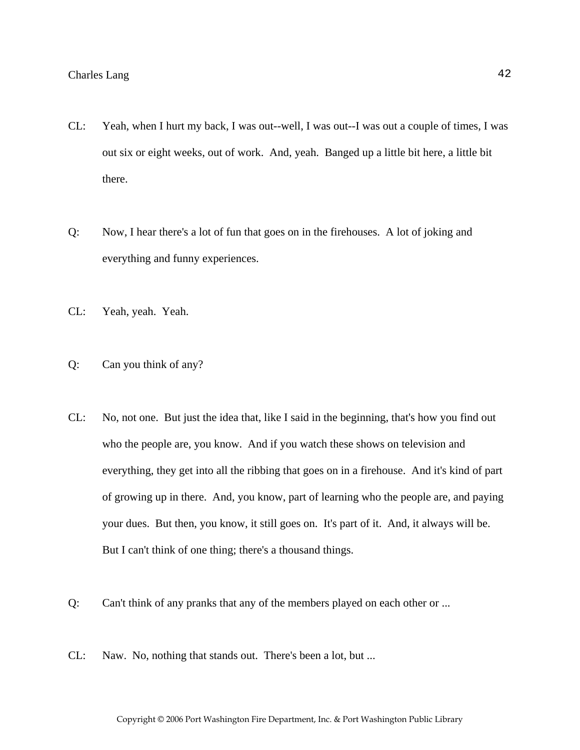- CL: Yeah, when I hurt my back, I was out--well, I was out--I was out a couple of times, I was out six or eight weeks, out of work. And, yeah. Banged up a little bit here, a little bit there.
- Q: Now, I hear there's a lot of fun that goes on in the firehouses. A lot of joking and everything and funny experiences.
- CL: Yeah, yeah. Yeah.
- Q: Can you think of any?
- CL: No, not one. But just the idea that, like I said in the beginning, that's how you find out who the people are, you know. And if you watch these shows on television and everything, they get into all the ribbing that goes on in a firehouse. And it's kind of part of growing up in there. And, you know, part of learning who the people are, and paying your dues. But then, you know, it still goes on. It's part of it. And, it always will be. But I can't think of one thing; there's a thousand things.
- Q: Can't think of any pranks that any of the members played on each other or ...
- CL: Naw. No, nothing that stands out. There's been a lot, but ...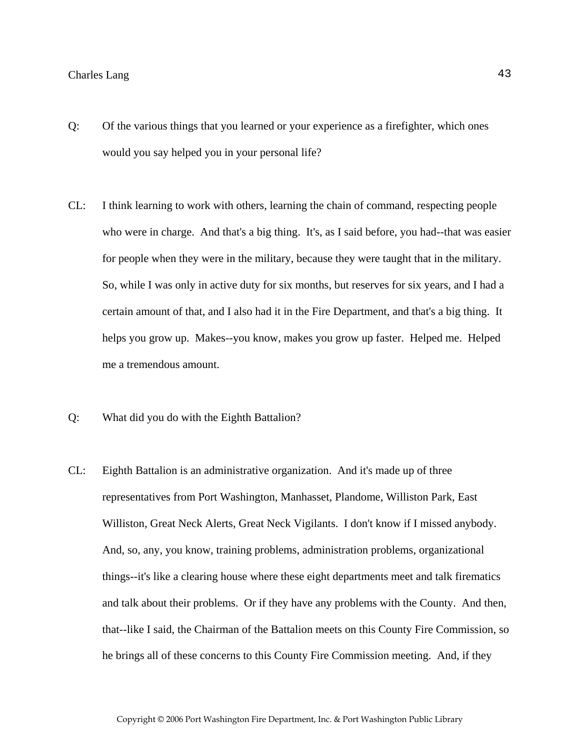- Q: Of the various things that you learned or your experience as a firefighter, which ones would you say helped you in your personal life?
- CL: I think learning to work with others, learning the chain of command, respecting people who were in charge. And that's a big thing. It's, as I said before, you had--that was easier for people when they were in the military, because they were taught that in the military. So, while I was only in active duty for six months, but reserves for six years, and I had a certain amount of that, and I also had it in the Fire Department, and that's a big thing. It helps you grow up. Makes--you know, makes you grow up faster. Helped me. Helped me a tremendous amount.
- Q: What did you do with the Eighth Battalion?
- CL: Eighth Battalion is an administrative organization. And it's made up of three representatives from Port Washington, Manhasset, Plandome, Williston Park, East Williston, Great Neck Alerts, Great Neck Vigilants. I don't know if I missed anybody. And, so, any, you know, training problems, administration problems, organizational things--it's like a clearing house where these eight departments meet and talk firematics and talk about their problems. Or if they have any problems with the County. And then, that--like I said, the Chairman of the Battalion meets on this County Fire Commission, so he brings all of these concerns to this County Fire Commission meeting. And, if they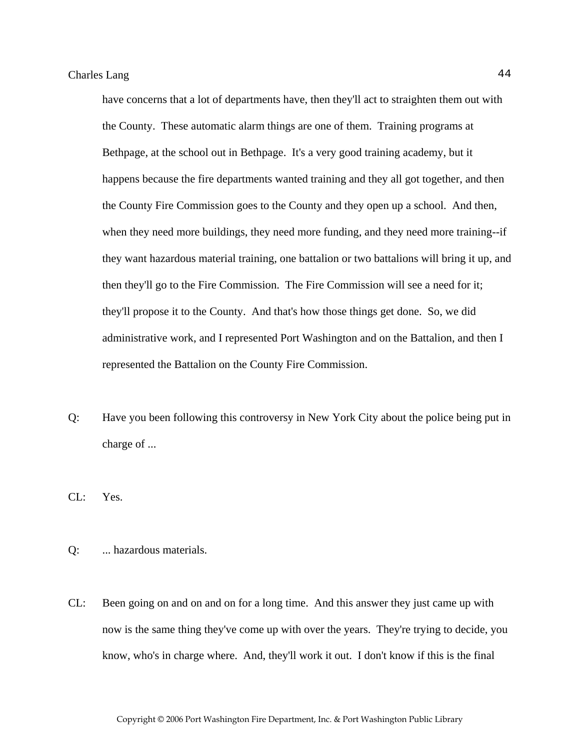have concerns that a lot of departments have, then they'll act to straighten them out with the County. These automatic alarm things are one of them. Training programs at Bethpage, at the school out in Bethpage. It's a very good training academy, but it happens because the fire departments wanted training and they all got together, and then the County Fire Commission goes to the County and they open up a school. And then, when they need more buildings, they need more funding, and they need more training--if they want hazardous material training, one battalion or two battalions will bring it up, and then they'll go to the Fire Commission. The Fire Commission will see a need for it; they'll propose it to the County. And that's how those things get done. So, we did administrative work, and I represented Port Washington and on the Battalion, and then I represented the Battalion on the County Fire Commission.

- Q: Have you been following this controversy in New York City about the police being put in charge of ...
- CL: Yes.
- Q: ... hazardous materials.
- CL: Been going on and on and on for a long time. And this answer they just came up with now is the same thing they've come up with over the years. They're trying to decide, you know, who's in charge where. And, they'll work it out. I don't know if this is the final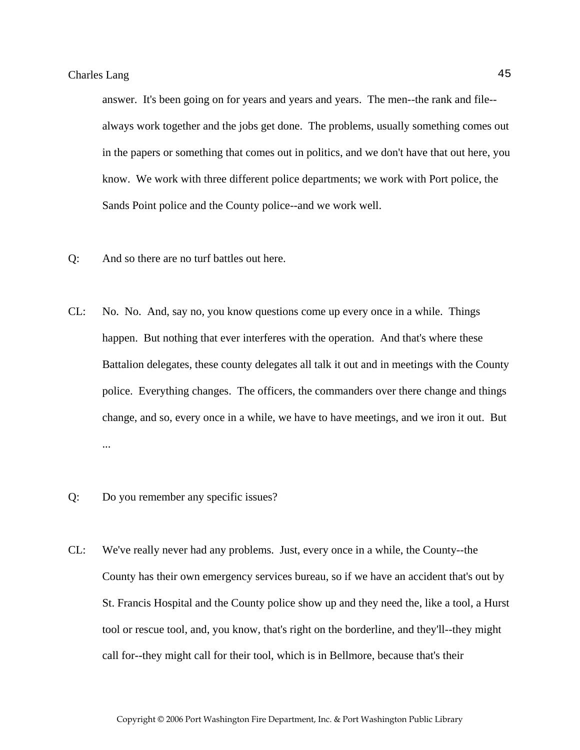answer. It's been going on for years and years and years. The men--the rank and file- always work together and the jobs get done. The problems, usually something comes out in the papers or something that comes out in politics, and we don't have that out here, you know. We work with three different police departments; we work with Port police, the Sands Point police and the County police--and we work well.

- Q: And so there are no turf battles out here.
- CL: No. No. And, say no, you know questions come up every once in a while. Things happen. But nothing that ever interferes with the operation. And that's where these Battalion delegates, these county delegates all talk it out and in meetings with the County police. Everything changes. The officers, the commanders over there change and things change, and so, every once in a while, we have to have meetings, and we iron it out. But ...
- Q: Do you remember any specific issues?
- CL: We've really never had any problems. Just, every once in a while, the County--the County has their own emergency services bureau, so if we have an accident that's out by St. Francis Hospital and the County police show up and they need the, like a tool, a Hurst tool or rescue tool, and, you know, that's right on the borderline, and they'll--they might call for--they might call for their tool, which is in Bellmore, because that's their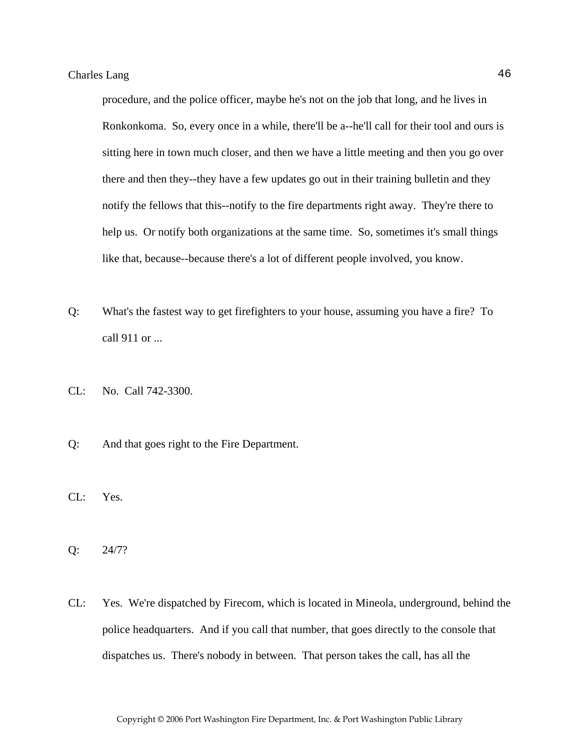procedure, and the police officer, maybe he's not on the job that long, and he lives in Ronkonkoma. So, every once in a while, there'll be a--he'll call for their tool and ours is sitting here in town much closer, and then we have a little meeting and then you go over there and then they--they have a few updates go out in their training bulletin and they notify the fellows that this--notify to the fire departments right away. They're there to help us. Or notify both organizations at the same time. So, sometimes it's small things like that, because--because there's a lot of different people involved, you know.

- Q: What's the fastest way to get firefighters to your house, assuming you have a fire? To call 911 or ...
- CL: No. Call 742-3300.
- Q: And that goes right to the Fire Department.
- CL: Yes.
- Q: 24/7?
- CL: Yes. We're dispatched by Firecom, which is located in Mineola, underground, behind the police headquarters. And if you call that number, that goes directly to the console that dispatches us. There's nobody in between. That person takes the call, has all the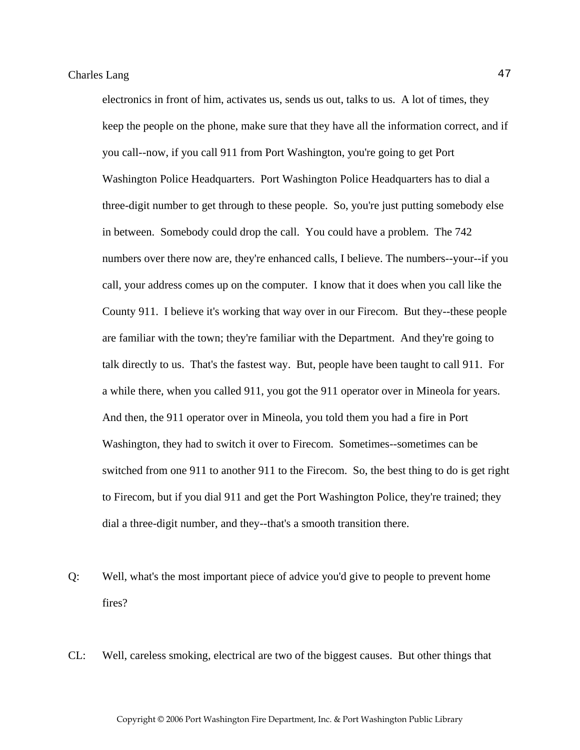electronics in front of him, activates us, sends us out, talks to us. A lot of times, they keep the people on the phone, make sure that they have all the information correct, and if you call--now, if you call 911 from Port Washington, you're going to get Port Washington Police Headquarters. Port Washington Police Headquarters has to dial a three-digit number to get through to these people. So, you're just putting somebody else in between. Somebody could drop the call. You could have a problem. The 742 numbers over there now are, they're enhanced calls, I believe. The numbers--your--if you call, your address comes up on the computer. I know that it does when you call like the County 911. I believe it's working that way over in our Firecom. But they--these people are familiar with the town; they're familiar with the Department. And they're going to talk directly to us. That's the fastest way. But, people have been taught to call 911. For a while there, when you called 911, you got the 911 operator over in Mineola for years. And then, the 911 operator over in Mineola, you told them you had a fire in Port Washington, they had to switch it over to Firecom. Sometimes--sometimes can be switched from one 911 to another 911 to the Firecom. So, the best thing to do is get right to Firecom, but if you dial 911 and get the Port Washington Police, they're trained; they dial a three-digit number, and they--that's a smooth transition there.

- Q: Well, what's the most important piece of advice you'd give to people to prevent home fires?
- CL: Well, careless smoking, electrical are two of the biggest causes. But other things that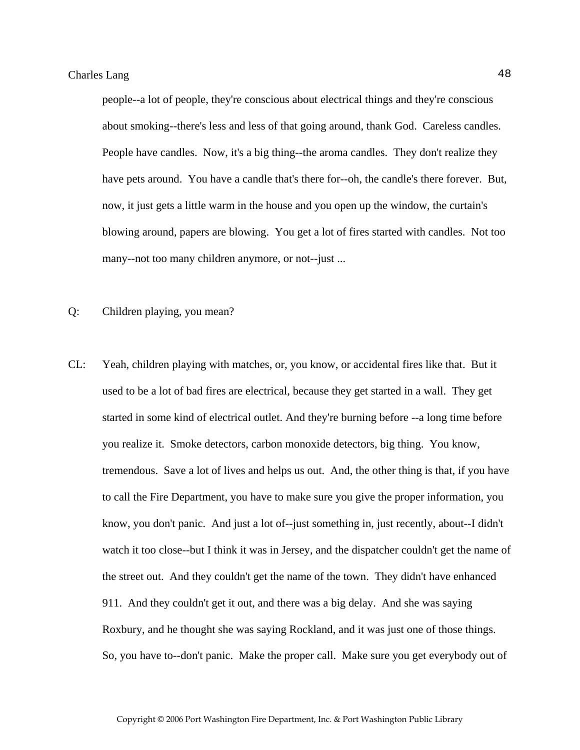people--a lot of people, they're conscious about electrical things and they're conscious about smoking--there's less and less of that going around, thank God. Careless candles. People have candles. Now, it's a big thing--the aroma candles. They don't realize they have pets around. You have a candle that's there for--oh, the candle's there forever. But, now, it just gets a little warm in the house and you open up the window, the curtain's blowing around, papers are blowing. You get a lot of fires started with candles. Not too many--not too many children anymore, or not--just ...

- Q: Children playing, you mean?
- CL: Yeah, children playing with matches, or, you know, or accidental fires like that. But it used to be a lot of bad fires are electrical, because they get started in a wall. They get started in some kind of electrical outlet. And they're burning before --a long time before you realize it. Smoke detectors, carbon monoxide detectors, big thing. You know, tremendous. Save a lot of lives and helps us out. And, the other thing is that, if you have to call the Fire Department, you have to make sure you give the proper information, you know, you don't panic. And just a lot of--just something in, just recently, about--I didn't watch it too close--but I think it was in Jersey, and the dispatcher couldn't get the name of the street out. And they couldn't get the name of the town. They didn't have enhanced 911. And they couldn't get it out, and there was a big delay. And she was saying Roxbury, and he thought she was saying Rockland, and it was just one of those things. So, you have to--don't panic. Make the proper call. Make sure you get everybody out of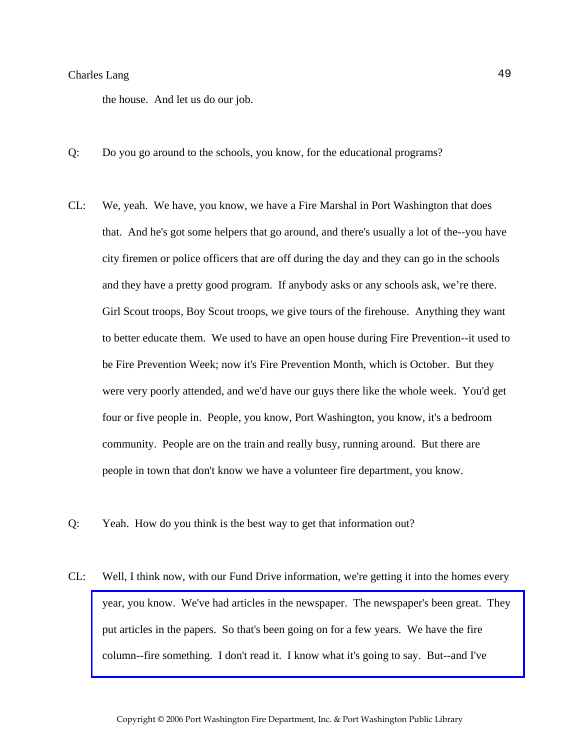the house. And let us do our job.

- Q: Do you go around to the schools, you know, for the educational programs?
- CL: We, yeah. We have, you know, we have a Fire Marshal in Port Washington that does that. And he's got some helpers that go around, and there's usually a lot of the--you have city firemen or police officers that are off during the day and they can go in the schools and they have a pretty good program. If anybody asks or any schools ask, we're there. Girl Scout troops, Boy Scout troops, we give tours of the firehouse. Anything they want to better educate them. We used to have an open house during Fire Prevention--it used to be Fire Prevention Week; now it's Fire Prevention Month, which is October. But they were very poorly attended, and we'd have our guys there like the whole week. You'd get four or five people in. People, you know, Port Washington, you know, it's a bedroom community. People are on the train and really busy, running around. But there are people in town that don't know we have a volunteer fire department, you know.
- Q: Yeah. How do you think is the best way to get that information out?
- CL: Well, I think now, with our Fund Drive information, we're getting it into the homes every [year, you know. We've had articles in the newspaper. The newspaper's been great. They](http://www.pwfdhistory.com/trans/langc_trans/firefoc900322_pz_web.jpg)  put articles in the papers. So that's been going on for a few years. We have the fire column--fire something. I don't read it. I know what it's going to say. But--and I've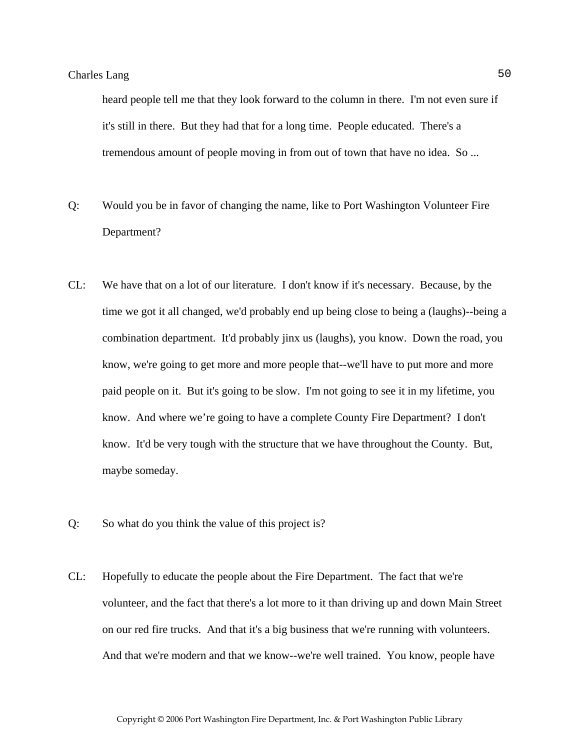heard people tell me that they look forward to the column in there. I'm not even sure if it's still in there. But they had that for a long time. People educated. There's a tremendous amount of people moving in from out of town that have no idea. So ...

- Q: Would you be in favor of changing the name, like to Port Washington Volunteer Fire Department?
- CL: We have that on a lot of our literature. I don't know if it's necessary. Because, by the time we got it all changed, we'd probably end up being close to being a (laughs)--being a combination department. It'd probably jinx us (laughs), you know. Down the road, you know, we're going to get more and more people that--we'll have to put more and more paid people on it. But it's going to be slow. I'm not going to see it in my lifetime, you know. And where we're going to have a complete County Fire Department? I don't know. It'd be very tough with the structure that we have throughout the County. But, maybe someday.
- Q: So what do you think the value of this project is?
- CL: Hopefully to educate the people about the Fire Department. The fact that we're volunteer, and the fact that there's a lot more to it than driving up and down Main Street on our red fire trucks. And that it's a big business that we're running with volunteers. And that we're modern and that we know--we're well trained. You know, people have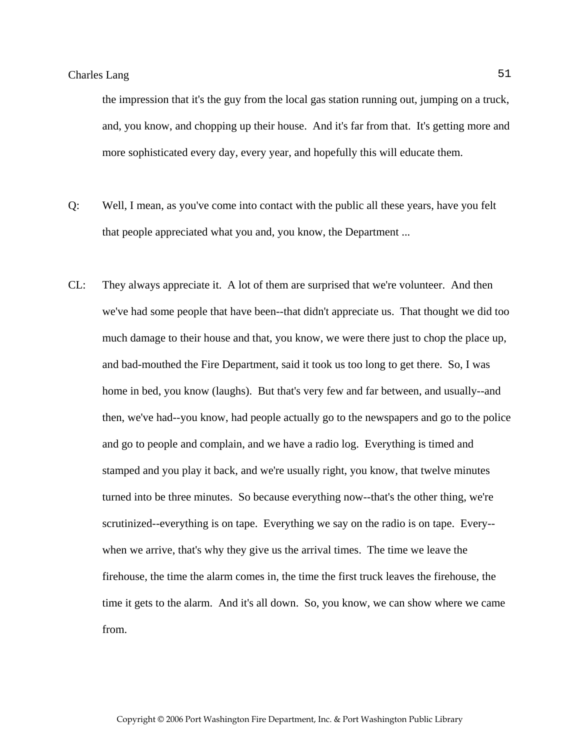the impression that it's the guy from the local gas station running out, jumping on a truck, and, you know, and chopping up their house. And it's far from that. It's getting more and more sophisticated every day, every year, and hopefully this will educate them.

- Q: Well, I mean, as you've come into contact with the public all these years, have you felt that people appreciated what you and, you know, the Department ...
- CL: They always appreciate it. A lot of them are surprised that we're volunteer. And then we've had some people that have been--that didn't appreciate us. That thought we did too much damage to their house and that, you know, we were there just to chop the place up, and bad-mouthed the Fire Department, said it took us too long to get there. So, I was home in bed, you know (laughs). But that's very few and far between, and usually--and then, we've had--you know, had people actually go to the newspapers and go to the police and go to people and complain, and we have a radio log. Everything is timed and stamped and you play it back, and we're usually right, you know, that twelve minutes turned into be three minutes. So because everything now--that's the other thing, we're scrutinized--everything is on tape. Everything we say on the radio is on tape. Every- when we arrive, that's why they give us the arrival times. The time we leave the firehouse, the time the alarm comes in, the time the first truck leaves the firehouse, the time it gets to the alarm. And it's all down. So, you know, we can show where we came from.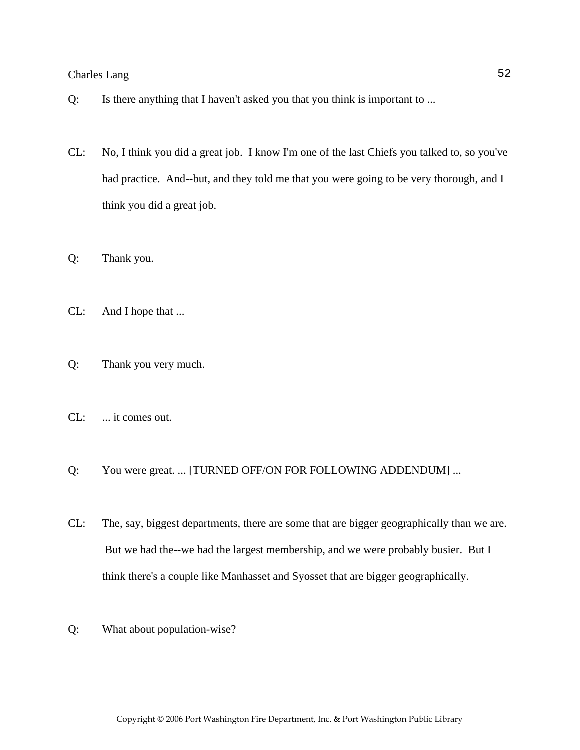- Q: Is there anything that I haven't asked you that you think is important to ...
- CL: No, I think you did a great job. I know I'm one of the last Chiefs you talked to, so you've had practice. And--but, and they told me that you were going to be very thorough, and I think you did a great job.
- Q: Thank you.
- CL: And I hope that ...
- Q: Thank you very much.
- CL: ... it comes out.
- Q: You were great. ... [TURNED OFF/ON FOR FOLLOWING ADDENDUM] ...
- CL: The, say, biggest departments, there are some that are bigger geographically than we are. But we had the--we had the largest membership, and we were probably busier. But I think there's a couple like Manhasset and Syosset that are bigger geographically.
- Q: What about population-wise?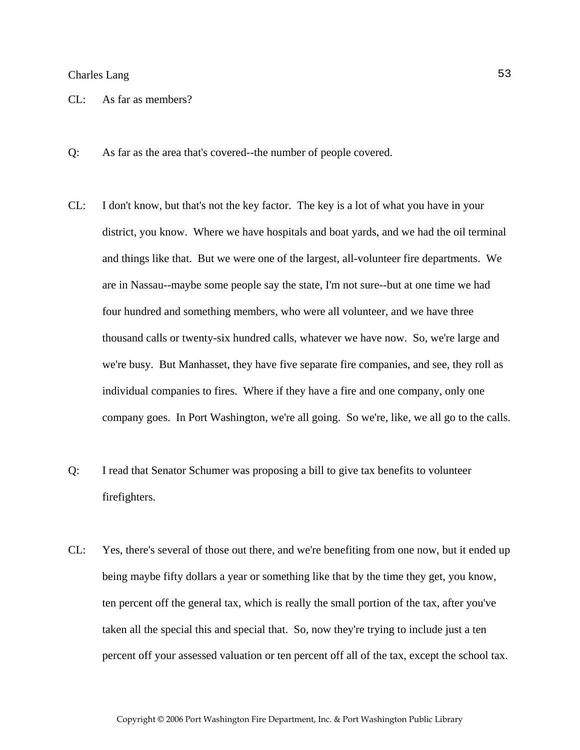- CL: As far as members?
- Q: As far as the area that's covered--the number of people covered.
- CL: I don't know, but that's not the key factor. The key is a lot of what you have in your district, you know. Where we have hospitals and boat yards, and we had the oil terminal and things like that. But we were one of the largest, all-volunteer fire departments. We are in Nassau--maybe some people say the state, I'm not sure--but at one time we had four hundred and something members, who were all volunteer, and we have three thousand calls or twenty-six hundred calls, whatever we have now. So, we're large and we're busy. But Manhasset, they have five separate fire companies, and see, they roll as individual companies to fires. Where if they have a fire and one company, only one company goes. In Port Washington, we're all going. So we're, like, we all go to the calls.
- Q: I read that Senator Schumer was proposing a bill to give tax benefits to volunteer firefighters.
- CL: Yes, there's several of those out there, and we're benefiting from one now, but it ended up being maybe fifty dollars a year or something like that by the time they get, you know, ten percent off the general tax, which is really the small portion of the tax, after you've taken all the special this and special that. So, now they're trying to include just a ten percent off your assessed valuation or ten percent off all of the tax, except the school tax.